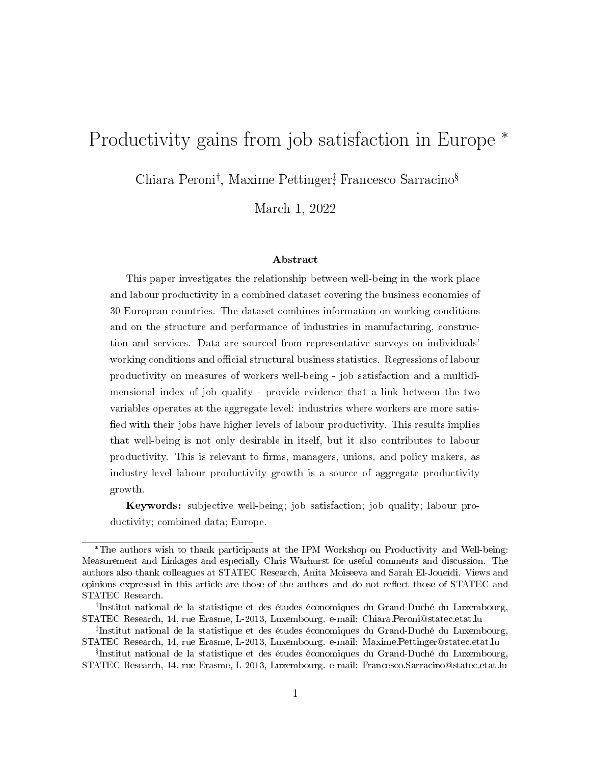# Productivity gains from job satisfaction in Europe  $*$

Chiara Peroni<sup>†</sup>, Maxime Pettinger<sup>†</sup>, Francesco Sarracino<sup>§</sup>

March 1, 2022

#### Abstract

This paper investigates the relationship between well-being in the work place and labour productivity in a combined dataset covering the business economies of 30 European countries. The dataset combines information on working conditions and on the structure and performance of industries in manufacturing, construction and services. Data are sourced from representative surveys on individuals' working conditions and official structural business statistics. Regressions of labour productivity on measures of workers well-being - job satisfaction and a multidimensional index of job quality - provide evidence that a link between the two variables operates at the aggregate level: industries where workers are more satis fied with their jobs have higher levels of labour productivity. This results implies that well-being is not only desirable in itself, but it also contributes to labour productivity. This is relevant to firms, managers, unions, and policy makers, as industry-level labour productivity growth is a source of aggregate productivity growth.

Keywords: subjective well-being; job satisfaction; job quality; labour productivity; combined data; Europe.

The authors wish to thank participants at the IPM Workshop on Productivity and Well-being: Measurement and Linkages and especially Chris Warhurst for useful comments and discussion. The authors also thank colleagues at STATEC Research, Anita Moiseeva and Sarah El-Joueidi. Views and opinions expressed in this article are those of the authors and do not reflect those of STATEC and STATEC Research.

<sup>&</sup>lt;sup>†</sup>Institut national de la statistique et des études économiques du Grand-Duché du Luxembourg, STATEC Research, 14, rue Erasme, L-2013, Luxembourg. e-mail: Chiara.Peroni@statec.etat.lu

<sup>&</sup>lt;sup>‡</sup>Institut national de la statistique et des études économiques du Grand-Duché du Luxembourg, STATEC Research, 14, rue Erasme, L-2013, Luxembourg. e-mail: Maxime.Pettinger@statec.etat.lu

 $^{\S}$ Institut national de la statistique et des études économiques du Grand-Duché du Luxembourg, STATEC Research, 14, rue Erasme, L-2013, Luxembourg. e-mail: Francesco.Sarracino@statec.etat.lu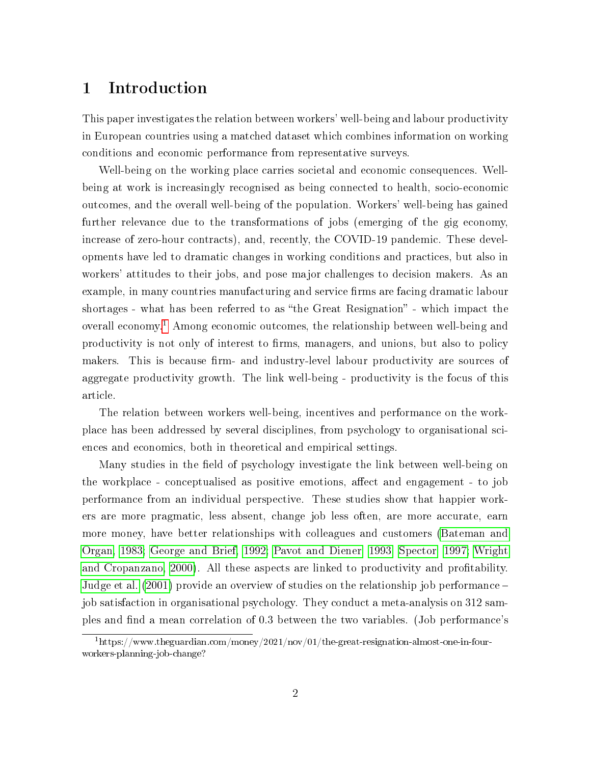#### 1 Introduction

This paper investigates the relation between workers' well-being and labour productivity in European countries using a matched dataset which combines information on working conditions and economic performance from representative surveys.

Well-being on the working place carries societal and economic consequences. Wellbeing at work is increasingly recognised as being connected to health, socio-economic outcomes, and the overall well-being of the population. Workers' well-being has gained further relevance due to the transformations of jobs (emerging of the gig economy, increase of zero-hour contracts), and, recently, the COVID-19 pandemic. These developments have led to dramatic changes in working conditions and practices, but also in workers' attitudes to their jobs, and pose major challenges to decision makers. As an example, in many countries manufacturing and service firms are facing dramatic labour shortages - what has been referred to as "the Great Resignation" - which impact the overall economy.[1](#page-1-0) Among economic outcomes, the relationship between well-being and productivity is not only of interest to firms, managers, and unions, but also to policy makers. This is because firm- and industry-level labour productivity are sources of aggregate productivity growth. The link well-being - productivity is the focus of this article.

The relation between workers well-being, incentives and performance on the workplace has been addressed by several disciplines, from psychology to organisational sciences and economics, both in theoretical and empirical settings.

Many studies in the field of psychology investigate the link between well-being on the workplace - conceptualised as positive emotions, affect and engagement - to job performance from an individual perspective. These studies show that happier workers are more pragmatic, less absent, change job less often, are more accurate, earn more money, have better relationships with colleagues and customers [\(Bateman and](#page-24-0) [Organ, 1983;](#page-24-0) [George and Brief, 1992;](#page-25-0) [Pavot and Diener, 1993;](#page-25-1) [Spector, 1997;](#page-25-2) [Wright](#page-26-0) [and Cropanzano, 2000\)](#page-26-0). All these aspects are linked to productivity and protability. [Judge et al.](#page-25-3) [\(2001\)](#page-25-3) provide an overview of studies on the relationship job performance job satisfaction in organisational psychology. They conduct a meta-analysis on 312 samples and find a mean correlation of 0.3 between the two variables. (Job performance's

<span id="page-1-0"></span><sup>1</sup>https://www.theguardian.com/money/2021/nov/01/the-great-resignation-almost-one-in-fourworkers-planning-job-change?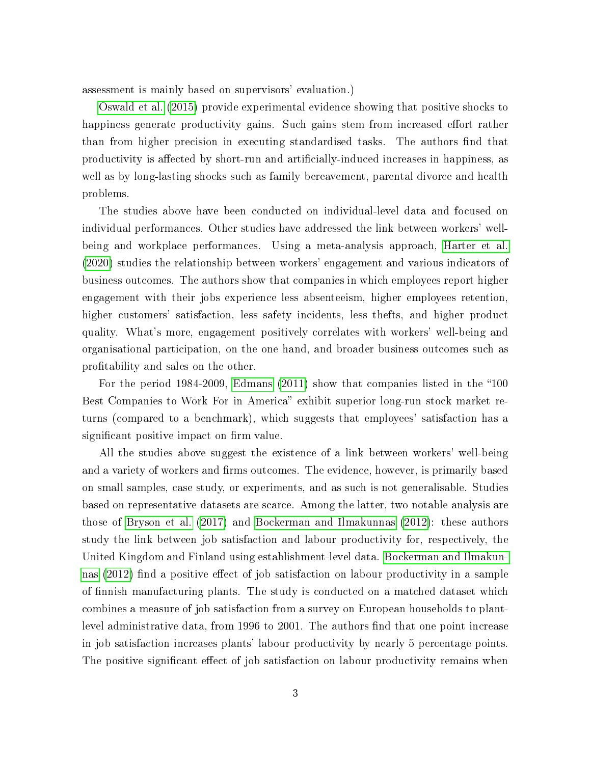assessment is mainly based on supervisors' evaluation.)

[Oswald et al.](#page-25-4) [\(2015\)](#page-25-4) provide experimental evidence showing that positive shocks to happiness generate productivity gains. Such gains stem from increased effort rather than from higher precision in executing standardised tasks. The authors find that productivity is affected by short-run and artificially-induced increases in happiness, as well as by long-lasting shocks such as family bereavement, parental divorce and health problems.

The studies above have been conducted on individual-level data and focused on individual performances. Other studies have addressed the link between workers' wellbeing and workplace performances. Using a meta-analysis approach, [Harter et al.](#page-25-5) [\(2020\)](#page-25-5) studies the relationship between workers' engagement and various indicators of business outcomes. The authors show that companies in which employees report higher engagement with their jobs experience less absenteeism, higher employees retention, higher customers' satisfaction, less safety incidents, less thefts, and higher product quality. What's more, engagement positively correlates with workers' well-being and organisational participation, on the one hand, and broader business outcomes such as protability and sales on the other.

For the period  $1984-2009$ , [Edmans](#page-24-1)  $(2011)$  show that companies listed in the "100 Best Companies to Work For in America" exhibit superior long-run stock market returns (compared to a benchmark), which suggests that employees' satisfaction has a significant positive impact on firm value.

All the studies above suggest the existence of a link between workers' well-being and a variety of workers and firms outcomes. The evidence, however, is primarily based on small samples, case study, or experiments, and as such is not generalisable. Studies based on representative datasets are scarce. Among the latter, two notable analysis are those of [Bryson et al.](#page-24-2) [\(2017\)](#page-24-2) and [Bockerman and Ilmakunnas](#page-24-3) [\(2012\)](#page-24-3): these authors study the link between job satisfaction and labour productivity for, respectively, the United Kingdom and Finland using establishment-level data. [Bockerman and Ilmakun](#page-24-3)[nas](#page-24-3)  $(2012)$  find a positive effect of job satisfaction on labour productivity in a sample of finnish manufacturing plants. The study is conducted on a matched dataset which combines a measure of job satisfaction from a survey on European households to plantlevel administrative data, from 1996 to 2001. The authors find that one point increase in job satisfaction increases plants' labour productivity by nearly 5 percentage points. The positive significant effect of job satisfaction on labour productivity remains when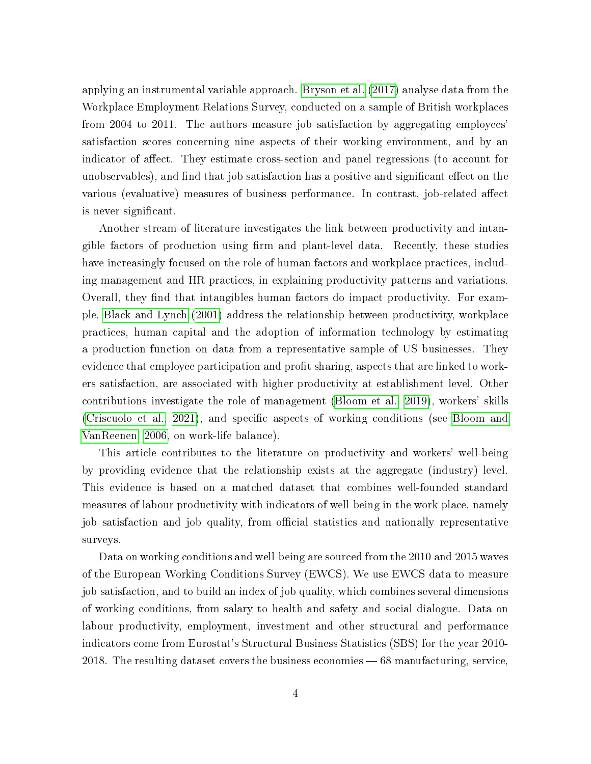applying an instrumental variable approach. [Bryson et al.](#page-24-2) [\(2017\)](#page-24-2) analyse data from the Workplace Employment Relations Survey, conducted on a sample of British workplaces from 2004 to 2011. The authors measure job satisfaction by aggregating employees' satisfaction scores concerning nine aspects of their working environment, and by an indicator of affect. They estimate cross-section and panel regressions (to account for unobservables), and find that job satisfaction has a positive and significant effect on the various (evaluative) measures of business performance. In contrast, job-related affect is never significant.

Another stream of literature investigates the link between productivity and intangible factors of production using rm and plant-level data. Recently, these studies have increasingly focused on the role of human factors and workplace practices, including management and HR practices, in explaining productivity patterns and variations. Overall, they find that intangibles human factors do impact productivity. For example, [Black and Lynch](#page-24-4) [\(2001\)](#page-24-4) address the relationship between productivity, workplace practices, human capital and the adoption of information technology by estimating a production function on data from a representative sample of US businesses. They evidence that employee participation and profit sharing, aspects that are linked to workers satisfaction, are associated with higher productivity at establishment level. Other contributions investigate the role of management [\(Bloom et al., 2019\)](#page-24-5), workers' skills [\(Criscuolo et al., 2021\)](#page-24-6), and specific aspects of working conditions (see [Bloom and](#page-24-7) [VanReenen, 2006,](#page-24-7) on work-life balance).

This article contributes to the literature on productivity and workers' well-being by providing evidence that the relationship exists at the aggregate (industry) level. This evidence is based on a matched dataset that combines well-founded standard measures of labour productivity with indicators of well-being in the work place, namely job satisfaction and job quality, from official statistics and nationally representative surveys.

Data on working conditions and well-being are sourced from the 2010 and 2015 waves of the European Working Conditions Survey (EWCS). We use EWCS data to measure job satisfaction, and to build an index of job quality, which combines several dimensions of working conditions, from salary to health and safety and social dialogue. Data on labour productivity, employment, investment and other structural and performance indicators come from Eurostat's Structural Business Statistics (SBS) for the year 2010- 2018. The resulting dataset covers the business economies  $-68$  manufacturing, service,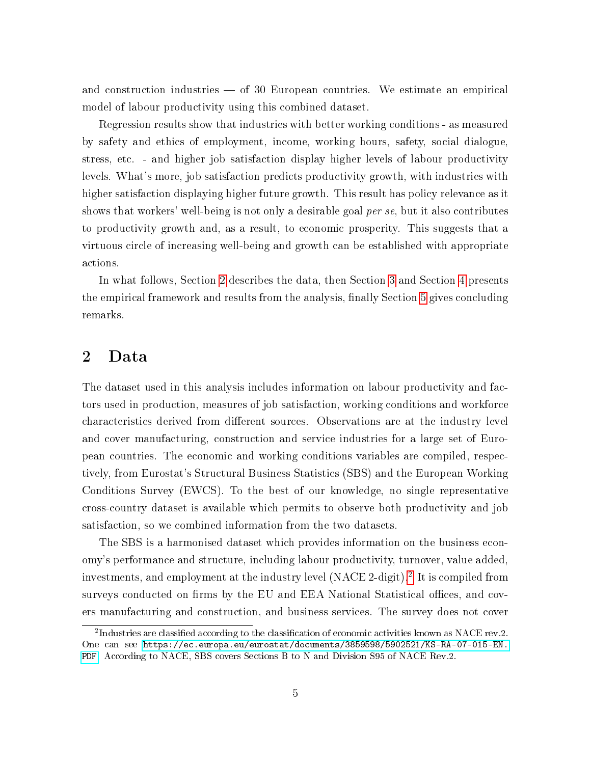and construction industries  $-$  of 30 European countries. We estimate an empirical model of labour productivity using this combined dataset.

Regression results show that industries with better working conditions - as measured by safety and ethics of employment, income, working hours, safety, social dialogue, stress, etc. - and higher job satisfaction display higher levels of labour productivity levels. What's more, job satisfaction predicts productivity growth, with industries with higher satisfaction displaying higher future growth. This result has policy relevance as it shows that workers' well-being is not only a desirable goal per se, but it also contributes to productivity growth and, as a result, to economic prosperity. This suggests that a virtuous circle of increasing well-being and growth can be established with appropriate actions.

In what follows, Section [2](#page-4-0) describes the data, then Section [3](#page-15-0) and Section [4](#page-17-0) presents the empirical framework and results from the analysis, finally Section [5](#page-22-0) gives concluding remarks.

#### <span id="page-4-0"></span>2 Data

The dataset used in this analysis includes information on labour productivity and factors used in production, measures of job satisfaction, working conditions and workforce characteristics derived from different sources. Observations are at the industry level and cover manufacturing, construction and service industries for a large set of European countries. The economic and working conditions variables are compiled, respectively, from Eurostat's Structural Business Statistics (SBS) and the European Working Conditions Survey (EWCS). To the best of our knowledge, no single representative cross-country dataset is available which permits to observe both productivity and job satisfaction, so we combined information from the two datasets.

The SBS is a harmonised dataset which provides information on the business economy's performance and structure, including labour productivity, turnover, value added, investments, and employment at the industry level (NACE 2-digit).[2](#page-4-1) It is compiled from surveys conducted on firms by the EU and EEA National Statistical offices, and covers manufacturing and construction, and business services. The survey does not cover

<span id="page-4-1"></span> $^{2}$ Industries are classified according to the classification of economic activities known as NACE rev.2. One can see [https://ec.europa.eu/eurostat/documents/3859598/5902521/KS-RA-07-015-EN.]( https://ec.europa.eu/eurostat/documents/3859598/5902521/KS-RA-07-015-EN.PDF) [PDF.]( https://ec.europa.eu/eurostat/documents/3859598/5902521/KS-RA-07-015-EN.PDF) According to NACE, SBS covers Sections B to N and Division S95 of NACE Rev.2.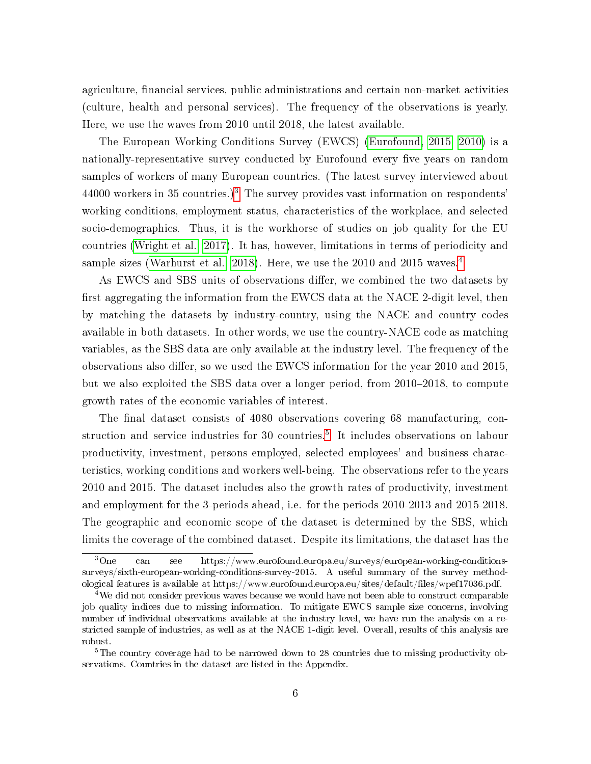agriculture, financial services, public administrations and certain non-market activities (culture, health and personal services). The frequency of the observations is yearly. Here, we use the waves from 2010 until 2018, the latest available.

The European Working Conditions Survey (EWCS) [\(Eurofound, 2015,](#page-24-8) [2010\)](#page-24-9) is a nationally-representative survey conducted by Eurofound every five years on random samples of workers of many European countries. (The latest survey interviewed about 44000 workers in [3](#page-5-0)5 countries.)<sup>3</sup> The survey provides vast information on respondents' working conditions, employment status, characteristics of the workplace, and selected socio-demographics. Thus, it is the workhorse of studies on job quality for the EU countries [\(Wright et al., 2017\)](#page-25-6). It has, however, limitations in terms of periodicity and sample sizes [\(Warhurst et al., 2018\)](#page-25-7). Here, we use the 2010 and 2015 waves.<sup>[4](#page-5-1)</sup>

As EWCS and SBS units of observations differ, we combined the two datasets by first aggregating the information from the EWCS data at the NACE 2-digit level, then by matching the datasets by industry-country, using the NACE and country codes available in both datasets. In other words, we use the country-NACE code as matching variables, as the SBS data are only available at the industry level. The frequency of the observations also differ, so we used the EWCS information for the year 2010 and 2015, but we also exploited the SBS data over a longer period, from  $2010-2018$ , to compute growth rates of the economic variables of interest.

The final dataset consists of 4080 observations covering 68 manufacturing, con-struction and service industries for 30 countries.<sup>[5](#page-5-2)</sup> It includes observations on labour productivity, investment, persons employed, selected employees' and business characteristics, working conditions and workers well-being. The observations refer to the years 2010 and 2015. The dataset includes also the growth rates of productivity, investment and employment for the 3-periods ahead, i.e. for the periods 2010-2013 and 2015-2018. The geographic and economic scope of the dataset is determined by the SBS, which limits the coverage of the combined dataset. Despite its limitations, the dataset has the

<span id="page-5-0"></span><sup>&</sup>lt;sup>3</sup>One can see https://www.eurofound.europa.eu/surveys/european-working-conditionssurveys/sixth-european-working-conditions-survey-2015. A useful summary of the survey methodological features is available at https://www.eurofound.europa.eu/sites/default/files/wpef17036.pdf.

<span id="page-5-1"></span> $4$ We did not consider previous waves because we would have not been able to construct comparable job quality indices due to missing information. To mitigate EWCS sample size concerns, involving number of individual observations available at the industry level, we have run the analysis on a restricted sample of industries, as well as at the NACE 1-digit level. Overall, results of this analysis are robust.

<span id="page-5-2"></span><sup>&</sup>lt;sup>5</sup>The country coverage had to be narrowed down to 28 countries due to missing productivity observations. Countries in the dataset are listed in the Appendix.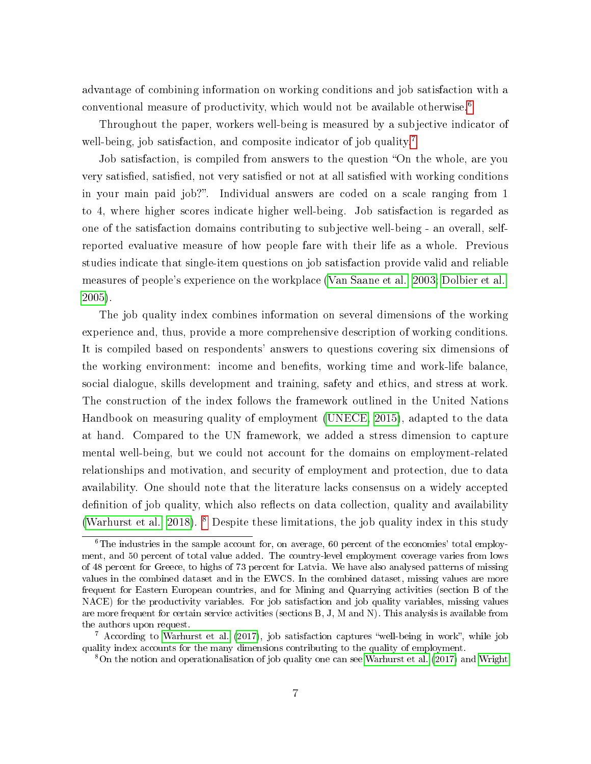advantage of combining information on working conditions and job satisfaction with a conventional measure of productivity, which would not be available otherwise.[6](#page-6-0)

Throughout the paper, workers well-being is measured by a subjective indicator of well-being, job satisfaction, and composite indicator of job quality.<sup>[7](#page-6-1)</sup>

Job satisfaction, is compiled from answers to the question "On the whole, are you very satisfied, satisfied, not very satisfied or not at all satisfied with working conditions in your main paid job?. Individual answers are coded on a scale ranging from 1 to 4, where higher scores indicate higher well-being. Job satisfaction is regarded as one of the satisfaction domains contributing to subjective well-being - an overall, selfreported evaluative measure of how people fare with their life as a whole. Previous studies indicate that single-item questions on job satisfaction provide valid and reliable measures of people's experience on the workplace [\(Van Saane et al., 2003;](#page-25-8) [Dolbier et al.,](#page-24-10) [2005\)](#page-24-10).

The job quality index combines information on several dimensions of the working experience and, thus, provide a more comprehensive description of working conditions. It is compiled based on respondents' answers to questions covering six dimensions of the working environment: income and benefits, working time and work-life balance, social dialogue, skills development and training, safety and ethics, and stress at work. The construction of the index follows the framework outlined in the United Nations Handbook on measuring quality of employment [\(UNECE, 2015\)](#page-25-9), adapted to the data at hand. Compared to the UN framework, we added a stress dimension to capture mental well-being, but we could not account for the domains on employment-related relationships and motivation, and security of employment and protection, due to data availability. One should note that the literature lacks consensus on a widely accepted definition of job quality, which also reflects on data collection, quality and availability [\(Warhurst et al., 2018\)](#page-25-7). [8](#page-6-2) Despite these limitations, the job quality index in this study

<span id="page-6-0"></span> $6$ The industries in the sample account for, on average, 60 percent of the economies' total employment, and 50 percent of total value added. The country-level employment coverage varies from lows of 48 percent for Greece, to highs of 73 percent for Latvia. We have also analysed patterns of missing values in the combined dataset and in the EWCS. In the combined dataset, missing values are more frequent for Eastern European countries, and for Mining and Quarrying activities (section B of the NACE) for the productivity variables. For job satisfaction and job quality variables, missing values are more frequent for certain service activities (sections B, J, M and N). This analysis is available from the authors upon request.

<span id="page-6-1"></span> $7$  According to [Warhurst et al.](#page-25-10) [\(2017\)](#page-25-10), job satisfaction captures "well-being in work", while job quality index accounts for the many dimensions contributing to the quality of employment.

<span id="page-6-2"></span><sup>8</sup>On the notion and operationalisation of job quality one can see [Warhurst et al.](#page-25-10) [\(2017\)](#page-25-10) and [Wright](#page-25-6)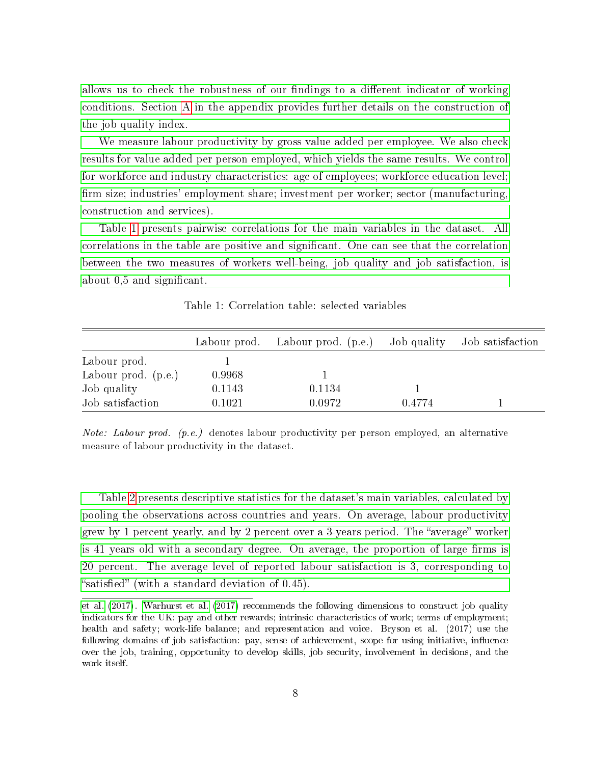allows us to check the robustness of our findings to a different indicator of working [conditions. Section A in the appendix provides further details on the construction of](#page-25-6) [the job quality index.](#page-25-6)

[We measure labour productivity by gross value added per employee. We also check](#page-25-6) [results for value added per person employed, which yields the same results. We control](#page-25-6) [for workforce and industry characteristics: age of employees; workforce education level;](#page-25-6) fi[rm size; industries' employment share; investment per worker; sector \(manufacturing,](#page-25-6) [construction and services\).](#page-25-6)

[Table 1 presents pairwise correlations for the main variables in the dataset. All](#page-25-6) [correlations in the table are positive and signicant. One can see that the correlation](#page-25-6) [between the two measures of workers well-being, job quality and job satisfaction, is](#page-25-6) about 0.5 and significant.

<span id="page-7-0"></span>

|                       |        | Labour prod. Labour prod. (p.e.) | Job quality | Job satisfaction |
|-----------------------|--------|----------------------------------|-------------|------------------|
| Labour prod.          |        |                                  |             |                  |
| Labour prod. $(p.e.)$ | 0.9968 |                                  |             |                  |
| Job quality           | 0.1143 | 0.1134                           |             |                  |
| Job satisfaction      | 0.1021 | 0.0972                           | 0.4774      |                  |

Table 1: Correlation table: selected variables

Note: Labour prod. (p.e.) denotes labour productivity per person employed, an alternative measure of labour productivity in the dataset.

[Table 2 presents descriptive statistics for the dataset's main variables, calculated by](#page-25-6) [pooling the observations across countries and years. On average, labour productivity](#page-25-6) grew by 1 percent yearly, and by 2 percent over a 3-years period. The "average" worker is 41 years old with a secondary degree. On average, the proportion of large firms is [20 percent. The average level of reported labour satisfaction is 3, corresponding to](#page-25-6) "satisfied" (with a standard deviation of  $0.45$ ).

[et al.](#page-25-6) [\(2017\)](#page-25-6). [Warhurst et al.](#page-25-10) [\(2017\)](#page-25-10) recommends the following dimensions to construct job quality indicators for the UK: pay and other rewards; intrinsic characteristics of work; terms of employment; health and safety; work-life balance; and representation and voice. Bryson et al. (2017) use the following domains of job satisfaction: pay, sense of achievement, scope for using initiative, influence over the job, training, opportunity to develop skills, job security, involvement in decisions, and the work itself.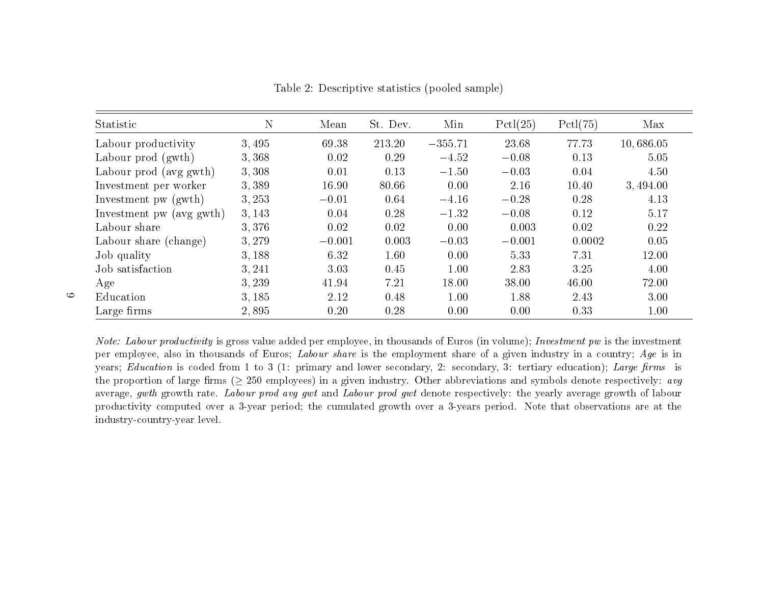| Statistic                | N     | Mean     | St. Dev. | Min       | Pctl(25) | PctI(75) | Max       |
|--------------------------|-------|----------|----------|-----------|----------|----------|-----------|
| Labour productivity      | 3,495 | 69.38    | 213.20   | $-355.71$ | 23.68    | 77.73    | 10,686.05 |
| Labour prod (gwth)       | 3,368 | 0.02     | 0.29     | $-4.52$   | $-0.08$  | 0.13     | 5.05      |
| Labour prod (avg gwth)   | 3,308 | 0.01     | 0.13     | $-1.50$   | $-0.03$  | 0.04     | 4.50      |
| Investment per worker    | 3,389 | 16.90    | 80.66    | 0.00      | 2.16     | 10.40    | 3,494.00  |
| Investment pw (gwth)     | 3,253 | $-0.01$  | 0.64     | $-4.16$   | $-0.28$  | 0.28     | 4.13      |
| Investment pw (avg gwth) | 3,143 | 0.04     | 0.28     | $-1.32$   | $-0.08$  | 0.12     | 5.17      |
| Labour share             | 3.376 | 0.02     | 0.02     | 0.00      | 0.003    | 0.02     | 0.22      |
| Labour share (change)    | 3,279 | $-0.001$ | 0.003    | $-0.03$   | $-0.001$ | 0.0002   | 0.05      |
| Job quality              | 3,188 | 6.32     | 1.60     | 0.00      | 5.33     | 7.31     | 12.00     |
| Job satisfaction         | 3,241 | 3.03     | 0.45     | 1.00      | 2.83     | 3.25     | 4.00      |
| Age                      | 3,239 | 41.94    | 7.21     | 18.00     | 38.00    | 46.00    | 72.00     |
| Education                | 3,185 | 2.12     | 0.48     | 1.00      | 1.88     | 2.43     | 3.00      |
| Large firms              | 2,895 | 0.20     | 0.28     | 0.00      | 0.00     | 0.33     | 1.00      |

Table 2: Descriptive statistics (pooled sample)

<span id="page-8-0"></span>Note: Labour productivity is gross value added per employee, in thousands of Euros (in volume); Investment pw is the investment per employee, also in thousands of Euros;  $\emph{Labour share}$  is the employment share of a given industry in a country;  $\emph{Age}$  is in years; *Education* is coded from 1 to 3 (1: primary and lower secondary, 2: secondary, 3: tertiary education); *Large firms* is the proportion of large firms ( $\geq 250$  employees) in a given industry. Other abbreviations and symbols denote respectively: avg average,  $gwth$  growth rate. *Labour prod avg*  $gwt$  and *Labour prod*  $gwt$  denote respectively: the yearly average growth of labour productivity computed over <sup>a</sup> 3-year period; the cumulated growth over <sup>a</sup> 3-years period. Note that observations are at theindustry-country-year level.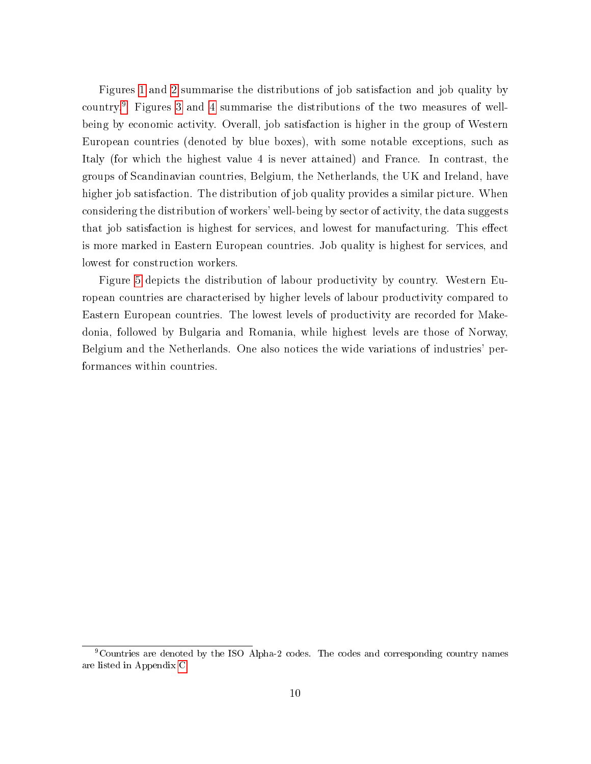Figures [1](#page-10-0) and [2](#page-11-0) summarise the distributions of job satisfaction and job quality by country.[9](#page-9-0) Figures [3](#page-12-0) and [4](#page-13-0) summarise the distributions of the two measures of wellbeing by economic activity. Overall, job satisfaction is higher in the group of Western European countries (denoted by blue boxes), with some notable exceptions, such as Italy (for which the highest value 4 is never attained) and France. In contrast, the groups of Scandinavian countries, Belgium, the Netherlands, the UK and Ireland, have higher job satisfaction. The distribution of job quality provides a similar picture. When considering the distribution of workers' well-being by sector of activity, the data suggests that job satisfaction is highest for services, and lowest for manufacturing. This effect is more marked in Eastern European countries. Job quality is highest for services, and lowest for construction workers.

Figure [5](#page-14-0) depicts the distribution of labour productivity by country. Western European countries are characterised by higher levels of labour productivity compared to Eastern European countries. The lowest levels of productivity are recorded for Makedonia, followed by Bulgaria and Romania, while highest levels are those of Norway, Belgium and the Netherlands. One also notices the wide variations of industries' performances within countries.

<span id="page-9-0"></span><sup>&</sup>lt;sup>9</sup>Countries are denoted by the ISO Alpha-2 codes. The codes and corresponding country names are listed in Appendix [C](#page-36-0)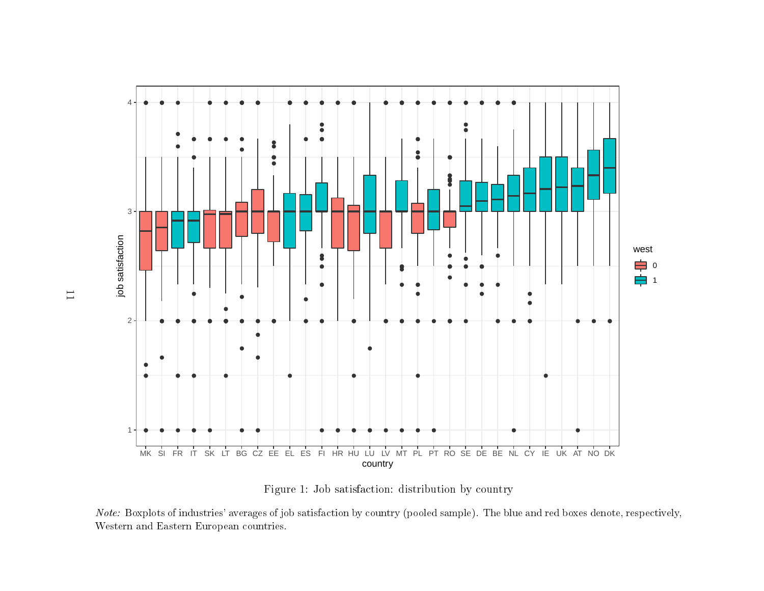

Figure 1: Job satisfaction: distribution by country

<span id="page-10-0"></span> $\emph{Note:}$  Boxplots of industries' averages of job satisfaction by country (pooled sample). The blue and red boxes denote, respectively, Western and Eastern European countries.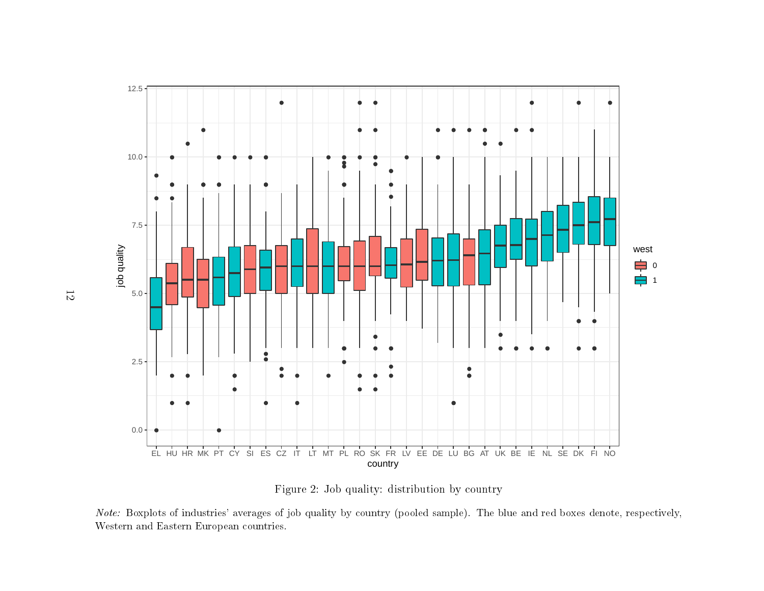

Figure 2: Job quality: distribution by country

<span id="page-11-0"></span> $Note:$  Boxplots of industries' averages of job quality by country (pooled sample). The blue and red boxes denote, respectively, Western and Eastern European countries.

12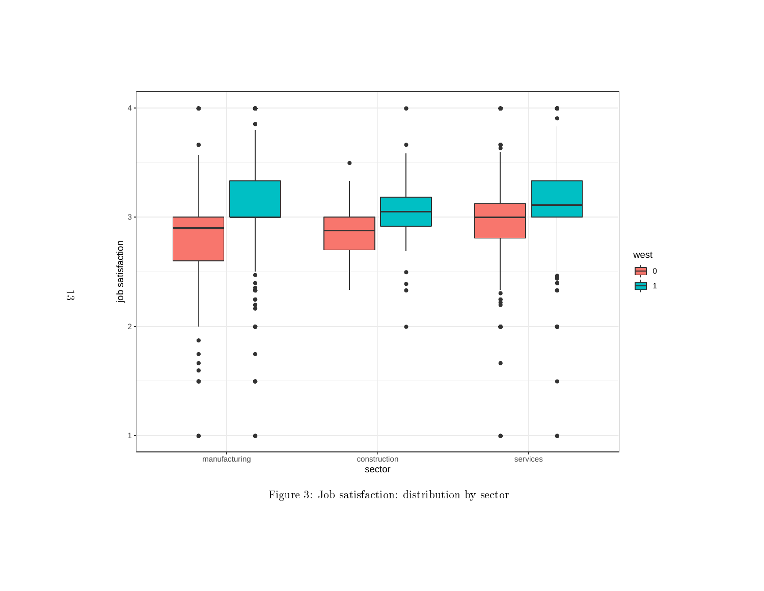<span id="page-12-0"></span>

Figure 3: Job satisfaction: distribution by sector

 $\frac{1}{3}$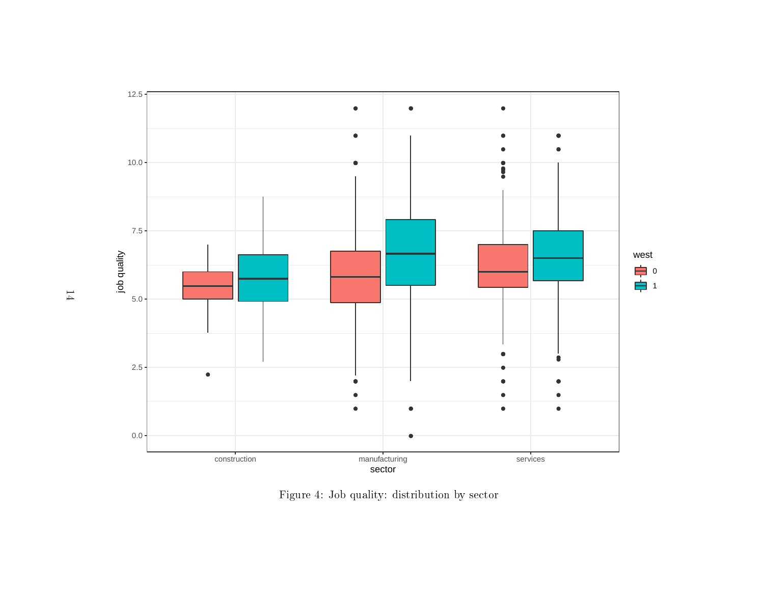

Figure 4: Job quality: distribution by sector

<span id="page-13-0"></span>14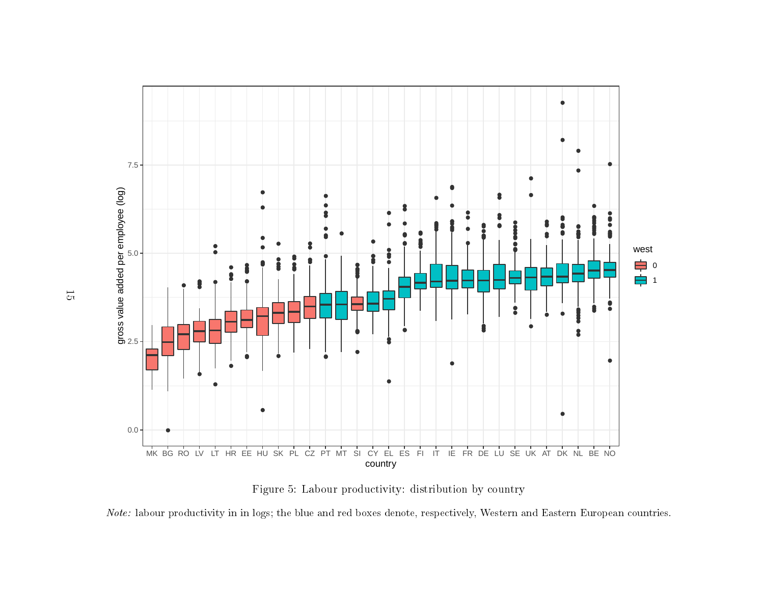

Figure 5: Labour productivity: distribution by country

<span id="page-14-0"></span> $\emph{Note:}$  labour productivity in in logs; the blue and red boxes denote, respectively, Western and Eastern European countries.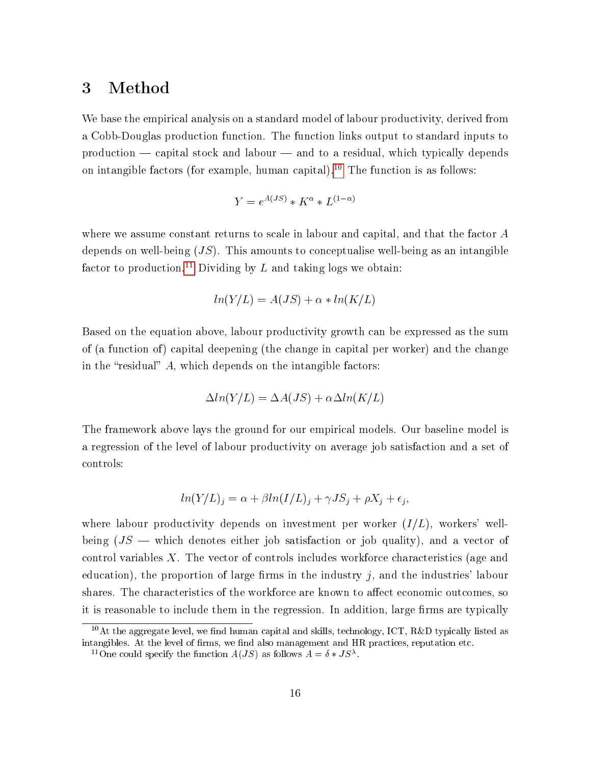#### <span id="page-15-0"></span>3 Method

We base the empirical analysis on a standard model of labour productivity, derived from a Cobb-Douglas production function. The function links output to standard inputs to production  $\sim$  capital stock and labour  $\sim$  and to a residual, which typically depends on intangible factors (for example, human capital).<sup>[10](#page-15-1)</sup> The function is as follows:

$$
Y=e^{A(JS)}*K^{\alpha}*L^{(1-\alpha)}
$$

where we assume constant returns to scale in labour and capital, and that the factor A depends on well-being  $(JS)$ . This amounts to conceptualise well-being as an intangible factor to production.<sup>[11](#page-15-2)</sup> Dividing by  $L$  and taking logs we obtain:

$$
ln(Y/L) = A(JS) + \alpha * ln(K/L)
$$

Based on the equation above, labour productivity growth can be expressed as the sum of (a function of) capital deepening (the change in capital per worker) and the change in the "residual"  $A$ , which depends on the intangible factors:

$$
\Delta ln(Y/L) = \Delta A (JS) + \alpha \Delta ln(K/L)
$$

The framework above lays the ground for our empirical models. Our baseline model is a regression of the level of labour productivity on average job satisfaction and a set of controls:

$$
ln(Y/L)_j = \alpha + \beta ln(I/L)_j + \gamma JS_j + \rho X_j + \epsilon_j,
$$

where labour productivity depends on investment per worker  $(I/L)$ , workers' wellbeing  $(JS -$  which denotes either job satisfaction or job quality), and a vector of control variables X. The vector of controls includes workforce characteristics (age and education), the proportion of large firms in the industry  $j$ , and the industries' labour shares. The characteristics of the workforce are known to affect economic outcomes, so it is reasonable to include them in the regression. In addition, large firms are typically

<span id="page-15-1"></span><sup>&</sup>lt;sup>10</sup>At the aggregate level, we find human capital and skills, technology, ICT, R&D typically listed as intangibles. At the level of firms, we find also management and HR practices, reputation etc.

<span id="page-15-2"></span><sup>&</sup>lt;sup>11</sup>One could specify the function  $A(JS)$  as follows  $A = \delta * JS^{\lambda}$ .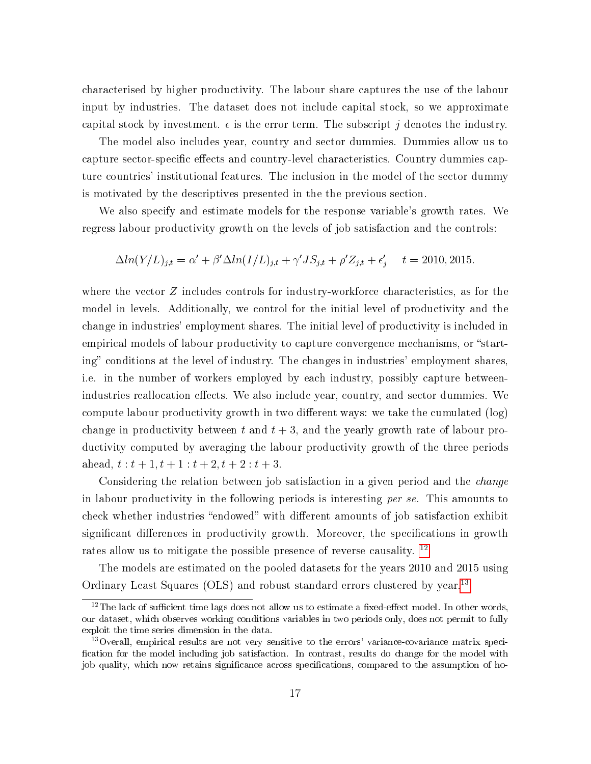characterised by higher productivity. The labour share captures the use of the labour input by industries. The dataset does not include capital stock, so we approximate capital stock by investment.  $\epsilon$  is the error term. The subscript j denotes the industry.

The model also includes year, country and sector dummies. Dummies allow us to capture sector-specific effects and country-level characteristics. Country dummies capture countries' institutional features. The inclusion in the model of the sector dummy is motivated by the descriptives presented in the the previous section.

We also specify and estimate models for the response variable's growth rates. We regress labour productivity growth on the levels of job satisfaction and the controls:

$$
\Delta ln(Y/L)_{j,t} = \alpha' + \beta' \Delta ln(I/L)_{j,t} + \gamma' JS_{j,t} + \rho' Z_{j,t} + \epsilon'_j \quad t = 2010, 2015.
$$

where the vector  $Z$  includes controls for industry-workforce characteristics, as for the model in levels. Additionally, we control for the initial level of productivity and the change in industries' employment shares. The initial level of productivity is included in empirical models of labour productivity to capture convergence mechanisms, or "starting" conditions at the level of industry. The changes in industries' employment shares, i.e. in the number of workers employed by each industry, possibly capture betweenindustries reallocation effects. We also include year, country, and sector dummies. We compute labour productivity growth in two different ways: we take the cumulated (log) change in productivity between t and  $t + 3$ , and the yearly growth rate of labour productivity computed by averaging the labour productivity growth of the three periods ahead,  $t : t + 1, t + 1 : t + 2, t + 2 : t + 3.$ 

Considering the relation between job satisfaction in a given period and the change in labour productivity in the following periods is interesting per se. This amounts to check whether industries "endowed" with different amounts of job satisfaction exhibit significant differences in productivity growth. Moreover, the specifications in growth rates allow us to mitigate the possible presence of reverse causality. <sup>[12](#page-16-0)</sup>

The models are estimated on the pooled datasets for the years 2010 and 2015 using Ordinary Least Squares (OLS) and robust standard errors clustered by year.<sup>[13](#page-16-1)</sup>

<span id="page-16-0"></span> $12$ The lack of sufficient time lags does not allow us to estimate a fixed-effect model. In other words, our dataset, which observes working conditions variables in two periods only, does not permit to fully exploit the time series dimension in the data.

<span id="page-16-1"></span><sup>&</sup>lt;sup>13</sup> Overall, empirical results are not very sensitive to the errors' variance-covariance matrix specification for the model including job satisfaction. In contrast, results do change for the model with job quality, which now retains significance across specifications, compared to the assumption of ho-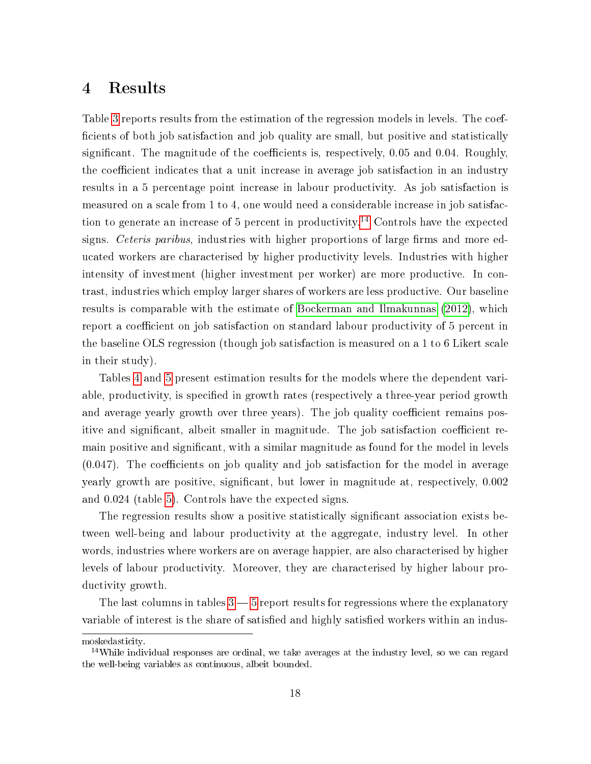#### <span id="page-17-0"></span>4 Results

Table [3](#page-19-0) reports results from the estimation of the regression models in levels. The coef ficients of both job satisfaction and job quality are small, but positive and statistically significant. The magnitude of the coefficients is, respectively, 0.05 and 0.04. Roughly, the coefficient indicates that a unit increase in average job satisfaction in an industry results in a 5 percentage point increase in labour productivity. As job satisfaction is measured on a scale from 1 to 4, one would need a considerable increase in job satisfac-tion to generate an increase of 5 percent in productivity.<sup>[14](#page-17-1)</sup> Controls have the expected signs. Ceteris paribus, industries with higher proportions of large firms and more educated workers are characterised by higher productivity levels. Industries with higher intensity of investment (higher investment per worker) are more productive. In contrast, industries which employ larger shares of workers are less productive. Our baseline results is comparable with the estimate of [Bockerman and Ilmakunnas](#page-24-3) [\(2012\)](#page-24-3), which report a coefficient on job satisfaction on standard labour productivity of 5 percent in the baseline OLS regression (though job satisfaction is measured on a 1 to 6 Likert scale in their study).

Tables [4](#page-20-0) and [5](#page-21-0) present estimation results for the models where the dependent variable, productivity, is specified in growth rates (respectively a three-year period growth and average yearly growth over three years). The job quality coefficient remains positive and significant, albeit smaller in magnitude. The job satisfaction coefficient remain positive and significant, with a similar magnitude as found for the model in levels  $(0.047)$ . The coefficients on job quality and job satisfaction for the model in average yearly growth are positive, signicant, but lower in magnitude at, respectively, 0.002 and 0.024 (table [5\)](#page-21-0). Controls have the expected signs.

The regression results show a positive statistically significant association exists between well-being and labour productivity at the aggregate, industry level. In other words, industries where workers are on average happier, are also characterised by higher levels of labour productivity. Moreover, they are characterised by higher labour productivity growth.

The last columns in tables  $3 - 5$  $3 - 5$  report results for regressions where the explanatory variable of interest is the share of satisfied and highly satisfied workers within an indus-

moskedasticity.

<span id="page-17-1"></span><sup>&</sup>lt;sup>14</sup>While individual responses are ordinal, we take averages at the industry level, so we can regard the well-being variables as continuous, albeit bounded.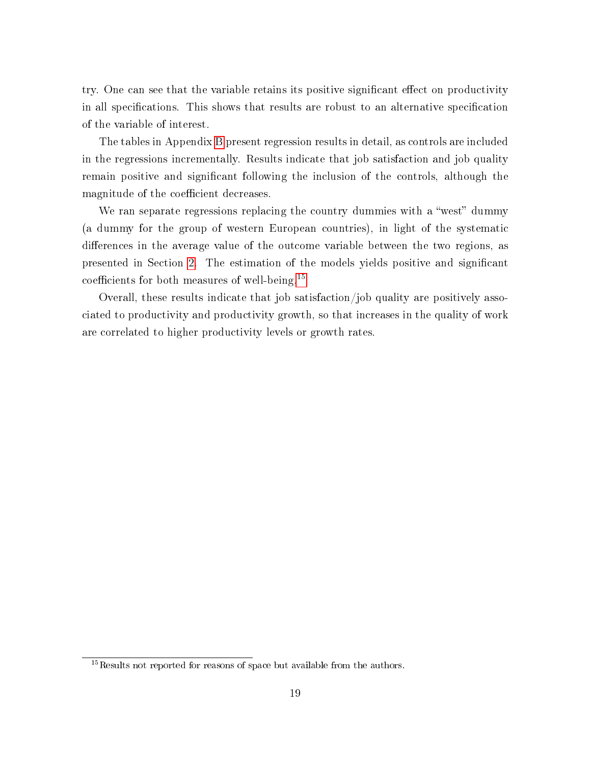try. One can see that the variable retains its positive significant effect on productivity in all specifications. This shows that results are robust to an alternative specification of the variable of interest.

The tables in Appendix [B](#page-29-0) present regression results in detail, as controls are included in the regressions incrementally. Results indicate that job satisfaction and job quality remain positive and significant following the inclusion of the controls, although the magnitude of the coefficient decreases.

We ran separate regressions replacing the country dummies with a "west" dummy (a dummy for the group of western European countries), in light of the systematic differences in the average value of the outcome variable between the two regions, as presented in Section [2.](#page-4-0) The estimation of the models yields positive and signicant coefficients for both measures of well-being.<sup>[15](#page-18-0)</sup>

Overall, these results indicate that job satisfaction/job quality are positively associated to productivity and productivity growth, so that increases in the quality of work are correlated to higher productivity levels or growth rates.

<span id="page-18-0"></span> $15$ Results not reported for reasons of space but available from the authors.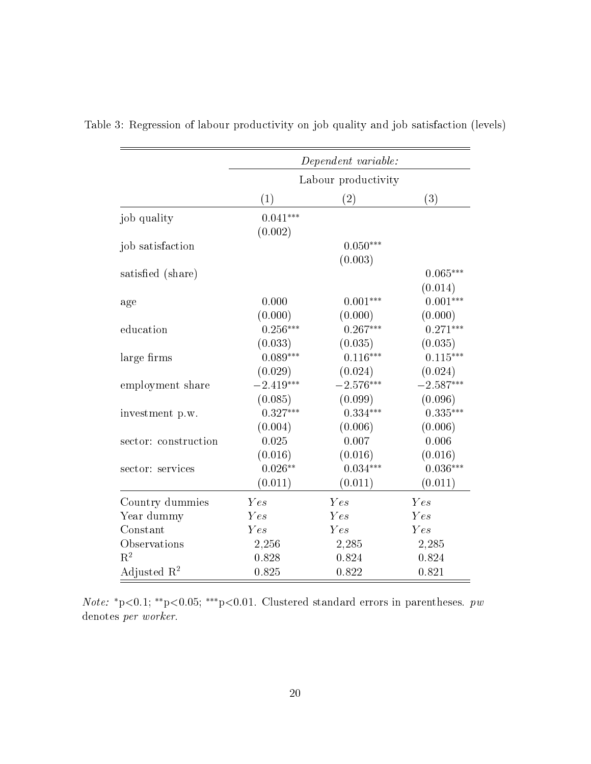|                         |                   | Dependent variable: |             |
|-------------------------|-------------------|---------------------|-------------|
|                         |                   | Labour productivity |             |
|                         | $\left( 1\right)$ | $\left( 2\right)$   | (3)         |
| job quality             | $0.041***$        |                     |             |
|                         | (0.002)           |                     |             |
| job satisfaction        |                   | $0.050***$          |             |
|                         |                   | (0.003)             |             |
| satisfied (share)       |                   |                     | $0.065***$  |
|                         |                   |                     | (0.014)     |
| age                     | 0.000             | $0.001***$          | $0.001***$  |
|                         | (0.000)           | (0.000)             | (0.000)     |
| education               | $0.256***$        | $0.267***$          | $0.271***$  |
|                         | (0.033)           | (0.035)             | (0.035)     |
| large firms             | $0.089***$        | $0.116***$          | $0.115***$  |
|                         | (0.029)           | (0.024)             | (0.024)     |
| employment share        | $-2.419***$       | $-2.576***$         | $-2.587***$ |
|                         | (0.085)           | (0.099)             | (0.096)     |
| investment p.w.         | $0.327***$        | $0.334***$          | $0.335***$  |
|                         | (0.004)           | (0.006)             | (0.006)     |
| sector: construction    | 0.025             | 0.007               | 0.006       |
|                         | (0.016)           | (0.016)             | (0.016)     |
| sector: services        | $0.026**$         | $0.034***$          | $0.036***$  |
|                         | (0.011)           | (0.011)             | (0.011)     |
| Country dummies         | Yes               | Yes                 | Yes         |
| Year dummy              | Yes               | Yes                 | Yes         |
| Constant                | Yes               | Yes                 | Yes         |
| Observations            | 2,256             | 2,285               | 2,285       |
| $\mathrm{R}^2$          | 0.828             | 0.824               | 0.824       |
| Adjusted $\mathbb{R}^2$ | 0.825             | 0.822               | 0.821       |

<span id="page-19-0"></span>Table 3: Regression of labour productivity on job quality and job satisfaction (levels)

Note: \*p<0.1; \*\*p<0.05; \*\*\*p<0.01. Clustered standard errors in parentheses.  $pw$ denotes per worker.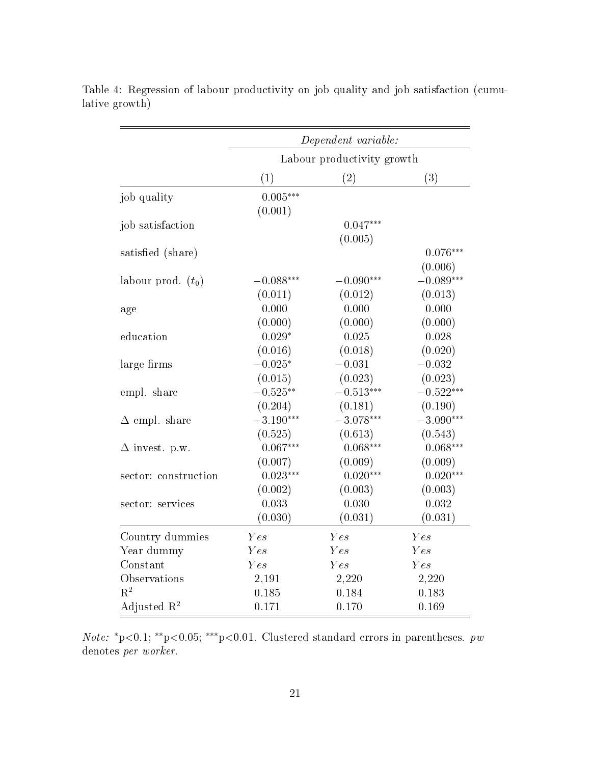|                         |             | Dependent variable:        |             |
|-------------------------|-------------|----------------------------|-------------|
|                         |             | Labour productivity growth |             |
|                         | (1)         | (2)                        | (3)         |
| job quality             | $0.005***$  |                            |             |
|                         | (0.001)     |                            |             |
| job satisfaction        |             | $0.047***$                 |             |
|                         |             | (0.005)                    |             |
| satisfied (share)       |             |                            | $0.076***$  |
|                         |             |                            | (0.006)     |
| labour prod. $(t_0)$    | $-0.088***$ | $-0.090***$                | $-0.089***$ |
|                         | (0.011)     | (0.012)                    | (0.013)     |
| age                     | 0.000       | 0.000                      | 0.000       |
|                         | (0.000)     | (0.000)                    | (0.000)     |
| education               | $0.029*$    | 0.025                      | 0.028       |
|                         | (0.016)     | (0.018)                    | (0.020)     |
| large firms             | $-0.025*$   | $-0.031$                   | $-0.032$    |
|                         | (0.015)     | (0.023)                    | (0.023)     |
| empl. share             | $-0.525**$  | $-0.513***$                | $-0.522***$ |
|                         | (0.204)     | (0.181)                    | (0.190)     |
| $\Delta$ empl. share    | $-3.190***$ | $-3.078***$                | $-3.090***$ |
|                         | (0.525)     | (0.613)                    | (0.543)     |
| $\Delta$ invest. p.w.   | $0.067***$  | $0.068***$                 | $0.068***$  |
|                         | (0.007)     | (0.009)                    | (0.009)     |
| sector: construction    | $0.023***$  | $0.020***$                 | $0.020***$  |
|                         | (0.002)     | (0.003)                    | (0.003)     |
| sector: services        | 0.033       | 0.030                      | 0.032       |
|                         | (0.030)     | (0.031)                    | (0.031)     |
| Country dummies         | Yes         | Yes                        | Yes         |
| Year dummy              | Yes         | Yes                        | Yes         |
| Constant                | Yes         | Yes                        | Yes         |
| Observations            | 2,191       | 2,220                      | 2,220       |
| $R^2$                   | 0.185       | 0.184                      | 0.183       |
| Adjusted $\mathbb{R}^2$ | 0.171       | 0.170                      | 0.169       |

<span id="page-20-0"></span>Table 4: Regression of labour productivity on job quality and job satisfaction (cumulative growth)

Note: \*p<0.1; \*\*p<0.05; \*\*\*p<0.01. Clustered standard errors in parentheses.  $pw$ denotes per worker.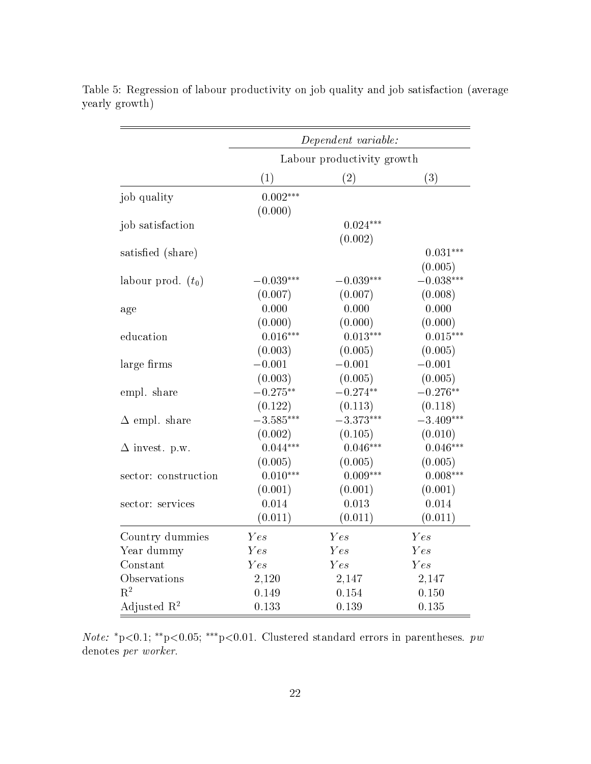|                         |             | Dependent variable:        |             |
|-------------------------|-------------|----------------------------|-------------|
|                         |             | Labour productivity growth |             |
|                         | (1)         | (2)                        | (3)         |
| job quality             | $0.002***$  |                            |             |
|                         | (0.000)     |                            |             |
| job satisfaction        |             | $0.024***$                 |             |
|                         |             | (0.002)                    |             |
| satisfied (share)       |             |                            | $0.031***$  |
|                         |             |                            | (0.005)     |
| labour prod. $(t_0)$    | $-0.039***$ | $-0.039***$                | $-0.038***$ |
|                         | (0.007)     | (0.007)                    | (0.008)     |
| age                     | 0.000       | 0.000                      | 0.000       |
|                         | (0.000)     | (0.000)                    | (0.000)     |
| education               | $0.016***$  | $0.013***$                 | $0.015***$  |
|                         | (0.003)     | (0.005)                    | (0.005)     |
| large firms             | $-0.001$    | $-0.001$                   | $-0.001$    |
|                         | (0.003)     | (0.005)                    | (0.005)     |
| empl. share             | $-0.275**$  | $-0.274**$                 | $-0.276**$  |
|                         | (0.122)     | (0.113)                    | (0.118)     |
| $\Delta$ empl. share    | $-3.585***$ | $-3.373***$                | $-3.409***$ |
|                         | (0.002)     | (0.105)                    | (0.010)     |
| $\Delta$ invest. p.w.   | $0.044***$  | $0.046***$                 | $0.046***$  |
|                         | (0.005)     | (0.005)                    | (0.005)     |
| sector: construction    | $0.010***$  | $0.009***$                 | $0.008***$  |
|                         | (0.001)     | (0.001)                    | (0.001)     |
| sector: services        | 0.014       | 0.013                      | 0.014       |
|                         | (0.011)     | (0.011)                    | (0.011)     |
| Country dummies         | Yes         | Yes                        | Yes         |
| Year dummy              | Yes         | Yes                        | Yes         |
| Constant                | Yes         | Yes                        | Yes         |
| Observations            | 2,120       | 2,147                      | 2,147       |
| $R^2$                   | 0.149       | 0.154                      | 0.150       |
| Adjusted $\mathbb{R}^2$ | 0.133       | 0.139                      | 0.135       |

<span id="page-21-0"></span>Table 5: Regression of labour productivity on job quality and job satisfaction (average yearly growth)

Note: \*p<0.1; \*\*p<0.05; \*\*\*p<0.01. Clustered standard errors in parentheses.  $pw$ denotes per worker.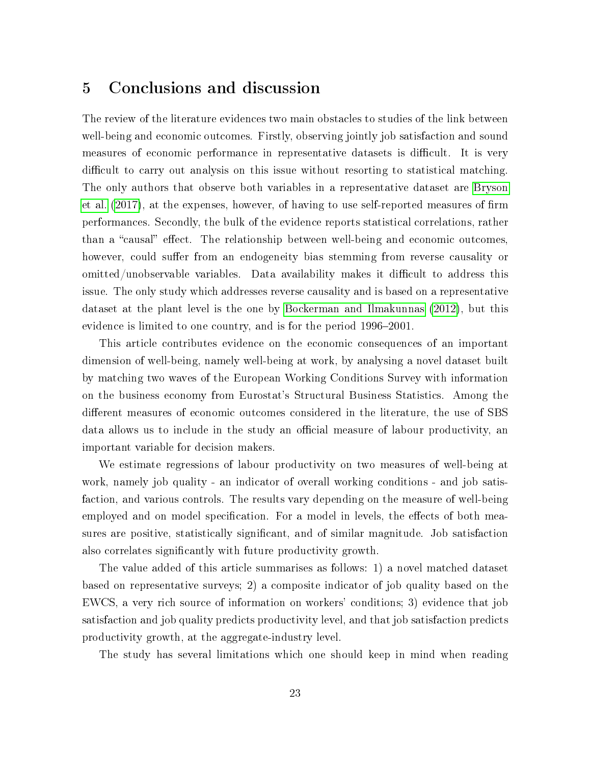### <span id="page-22-0"></span>5 Conclusions and discussion

The review of the literature evidences two main obstacles to studies of the link between well-being and economic outcomes. Firstly, observing jointly job satisfaction and sound measures of economic performance in representative datasets is difficult. It is very difficult to carry out analysis on this issue without resorting to statistical matching. The only authors that observe both variables in a representative dataset are [Bryson](#page-24-2) [et al.](#page-24-2)  $(2017)$ , at the expenses, however, of having to use self-reported measures of firm performances. Secondly, the bulk of the evidence reports statistical correlations, rather than a "causal" effect. The relationship between well-being and economic outcomes, however, could suffer from an endogeneity bias stemming from reverse causality or omitted/unobservable variables. Data availability makes it difficult to address this issue. The only study which addresses reverse causality and is based on a representative dataset at the plant level is the one by [Bockerman and Ilmakunnas](#page-24-3) [\(2012\)](#page-24-3), but this evidence is limited to one country, and is for the period 1996–2001.

This article contributes evidence on the economic consequences of an important dimension of well-being, namely well-being at work, by analysing a novel dataset built by matching two waves of the European Working Conditions Survey with information on the business economy from Eurostat's Structural Business Statistics. Among the different measures of economic outcomes considered in the literature, the use of SBS data allows us to include in the study an official measure of labour productivity, an important variable for decision makers.

We estimate regressions of labour productivity on two measures of well-being at work, namely job quality - an indicator of overall working conditions - and job satisfaction, and various controls. The results vary depending on the measure of well-being employed and on model specification. For a model in levels, the effects of both measures are positive, statistically signicant, and of similar magnitude. Job satisfaction also correlates significantly with future productivity growth.

The value added of this article summarises as follows: 1) a novel matched dataset based on representative surveys; 2) a composite indicator of job quality based on the EWCS, a very rich source of information on workers' conditions; 3) evidence that job satisfaction and job quality predicts productivity level, and that job satisfaction predicts productivity growth, at the aggregate-industry level.

The study has several limitations which one should keep in mind when reading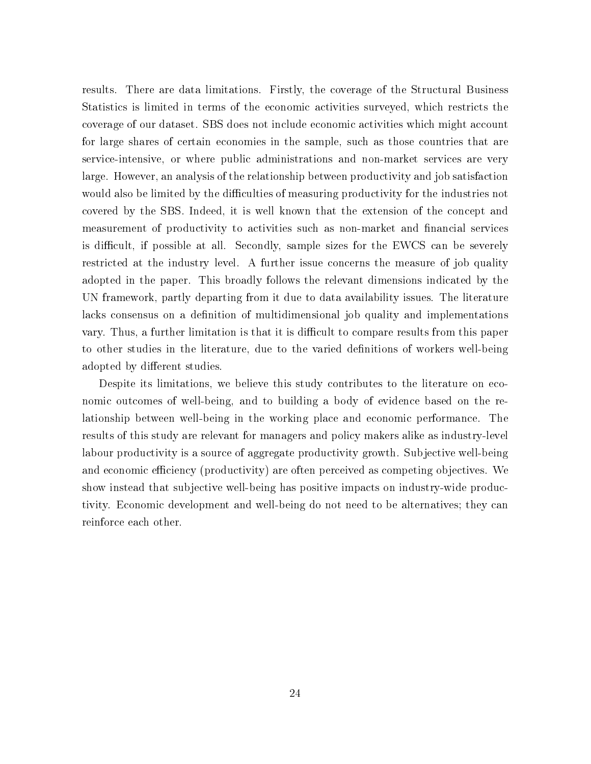results. There are data limitations. Firstly, the coverage of the Structural Business Statistics is limited in terms of the economic activities surveyed, which restricts the coverage of our dataset. SBS does not include economic activities which might account for large shares of certain economies in the sample, such as those countries that are service-intensive, or where public administrations and non-market services are very large. However, an analysis of the relationship between productivity and job satisfaction would also be limited by the difficulties of measuring productivity for the industries not covered by the SBS. Indeed, it is well known that the extension of the concept and measurement of productivity to activities such as non-market and financial services is difficult, if possible at all. Secondly, sample sizes for the EWCS can be severely restricted at the industry level. A further issue concerns the measure of job quality adopted in the paper. This broadly follows the relevant dimensions indicated by the UN framework, partly departing from it due to data availability issues. The literature lacks consensus on a definition of multidimensional job quality and implementations vary. Thus, a further limitation is that it is difficult to compare results from this paper to other studies in the literature, due to the varied definitions of workers well-being adopted by different studies.

Despite its limitations, we believe this study contributes to the literature on economic outcomes of well-being, and to building a body of evidence based on the relationship between well-being in the working place and economic performance. The results of this study are relevant for managers and policy makers alike as industry-level labour productivity is a source of aggregate productivity growth. Subjective well-being and economic efficiency (productivity) are often perceived as competing objectives. We show instead that subjective well-being has positive impacts on industry-wide productivity. Economic development and well-being do not need to be alternatives; they can reinforce each other.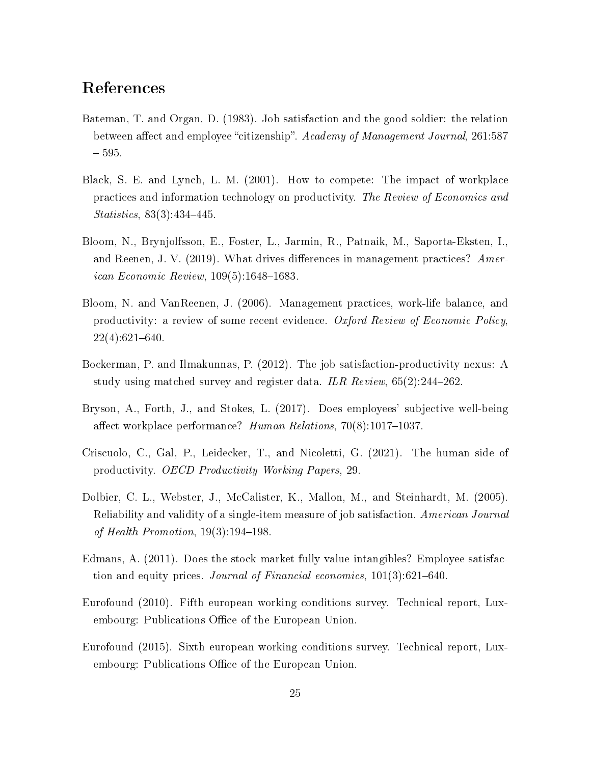## References

- <span id="page-24-0"></span>Bateman, T. and Organ, D. (1983). Job satisfaction and the good soldier: the relation between affect and employee "citizenship". Academy of Management Journal, 261:587 595.
- <span id="page-24-4"></span>Black, S. E. and Lynch, L. M. (2001). How to compete: The impact of workplace practices and information technology on productivity. The Review of Economics and  $Statistics, 83(3):434-445.$
- <span id="page-24-5"></span>Bloom, N., Brynjolfsson, E., Foster, L., Jarmin, R., Patnaik, M., Saporta-Eksten, I., and Reenen, J. V. (2019). What drives differences in management practices? Amer*ican Economic Review*,  $109(5)$ :1648-1683.
- <span id="page-24-7"></span>Bloom, N. and VanReenen, J. (2006). Management practices, work-life balance, and productivity: a review of some recent evidence. Oxford Review of Economic Policy,  $22(4):621-640.$
- <span id="page-24-3"></span>Bockerman, P. and Ilmakunnas, P. (2012). The job satisfaction-productivity nexus: A study using matched survey and register data. ILR Review,  $65(2):244-262$ .
- <span id="page-24-2"></span>Bryson, A., Forth, J., and Stokes, L. (2017). Does employees' subjective well-being affect workplace performance? Human Relations,  $70(8):1017-1037$ .
- <span id="page-24-6"></span>Criscuolo, C., Gal, P., Leidecker, T., and Nicoletti, G. (2021). The human side of productivity. OECD Productivity Working Papers, 29.
- <span id="page-24-10"></span>Dolbier, C. L., Webster, J., McCalister, K., Mallon, M., and Steinhardt, M. (2005). Reliability and validity of a single-item measure of job satisfaction. American Journal of Health Promotion,  $19(3):194-198$ .
- <span id="page-24-1"></span>Edmans, A. (2011). Does the stock market fully value intangibles? Employee satisfaction and equity prices. Journal of Financial economics,  $101(3)$ :621–640.
- <span id="page-24-9"></span>Eurofound (2010). Fifth european working conditions survey. Technical report, Luxembourg: Publications Office of the European Union.
- <span id="page-24-8"></span>Eurofound (2015). Sixth european working conditions survey. Technical report, Luxembourg: Publications Office of the European Union.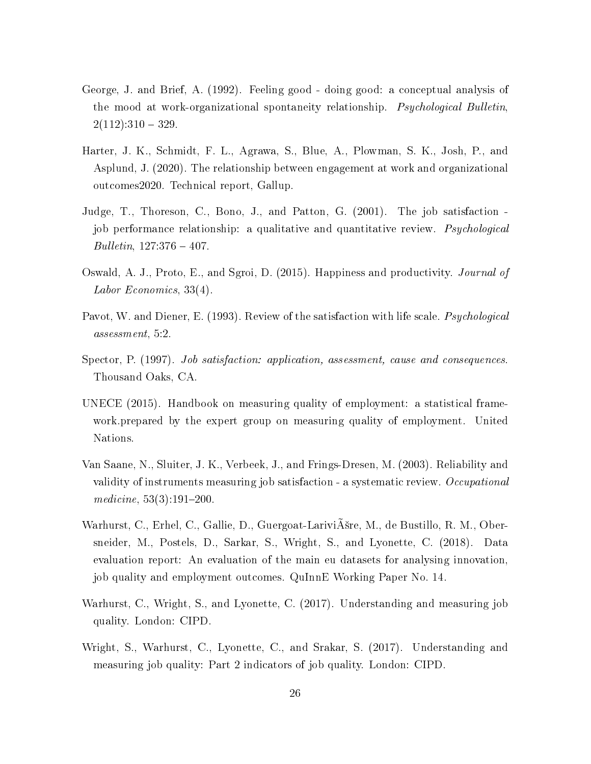- <span id="page-25-0"></span>George, J. and Brief, A. (1992). Feeling good - doing good: a conceptual analysis of the mood at work-organizational spontaneity relationship. Psychological Bulletin,  $2(112):310 - 329.$
- <span id="page-25-5"></span>Harter, J. K., Schmidt, F. L., Agrawa, S., Blue, A., Plowman, S. K., Josh, P., and Asplund, J. (2020). The relationship between engagement at work and organizational outcomes2020. Technical report, Gallup.
- <span id="page-25-3"></span>Judge, T., Thoreson, C., Bono, J., and Patton, G. (2001). The job satisfaction job performance relationship: a qualitative and quantitative review. *Psychological*  $Bulletin, 127:376 - 407.$
- <span id="page-25-4"></span>Oswald, A. J., Proto, E., and Sgroi, D. (2015). Happiness and productivity. Journal of Labor Economics, 33(4).
- <span id="page-25-1"></span>Pavot, W. and Diener, E. (1993). Review of the satisfaction with life scale. *Psychological* assessment, 5:2.
- <span id="page-25-2"></span>Spector, P. (1997). *Job satisfaction: application, assessment, cause and consequences.* Thousand Oaks, CA.
- <span id="page-25-9"></span>UNECE (2015). Handbook on measuring quality of employment: a statistical framework.prepared by the expert group on measuring quality of employment. United Nations.
- <span id="page-25-8"></span>Van Saane, N., Sluiter, J. K., Verbeek, J., and Frings-Dresen, M. (2003). Reliability and validity of instruments measuring job satisfaction - a systematic review. Occupational medicine,  $53(3):191-200$ .
- <span id="page-25-7"></span>Warhurst, C., Erhel, C., Gallie, D., Guergoat-Larivišre, M., de Bustillo, R. M., Obersneider, M., Postels, D., Sarkar, S., Wright, S., and Lyonette, C. (2018). Data evaluation report: An evaluation of the main eu datasets for analysing innovation, job quality and employment outcomes. QuInnE Working Paper No. 14.
- <span id="page-25-10"></span>Warhurst, C., Wright, S., and Lyonette, C. (2017). Understanding and measuring job quality. London: CIPD.
- <span id="page-25-6"></span>Wright, S., Warhurst, C., Lyonette, C., and Srakar, S. (2017). Understanding and measuring job quality: Part 2 indicators of job quality. London: CIPD.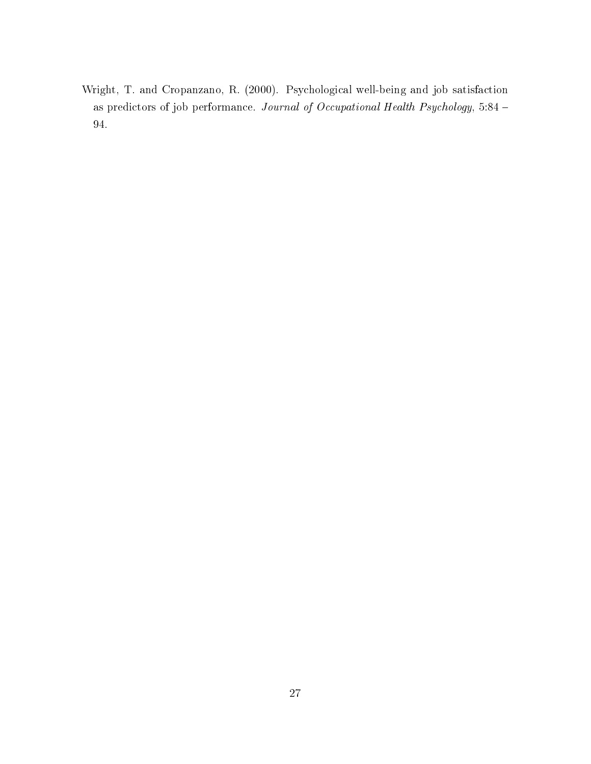<span id="page-26-0"></span>Wright, T. and Cropanzano, R. (2000). Psychological well-being and job satisfaction as predictors of job performance. Journal of Occupational Health Psychology, 5:84 94.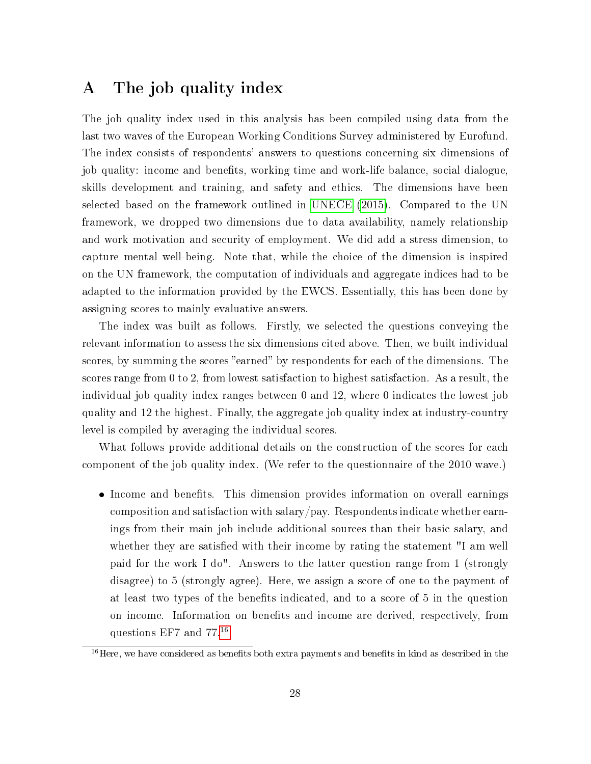### <span id="page-27-0"></span>A The job quality index

The job quality index used in this analysis has been compiled using data from the last two waves of the European Working Conditions Survey administered by Eurofund. The index consists of respondents' answers to questions concerning six dimensions of job quality: income and benefits, working time and work-life balance, social dialogue, skills development and training, and safety and ethics. The dimensions have been selected based on the framework outlined in [UNECE](#page-25-9) [\(2015\)](#page-25-9). Compared to the UN framework, we dropped two dimensions due to data availability, namely relationship and work motivation and security of employment. We did add a stress dimension, to capture mental well-being. Note that, while the choice of the dimension is inspired on the UN framework, the computation of individuals and aggregate indices had to be adapted to the information provided by the EWCS. Essentially, this has been done by assigning scores to mainly evaluative answers.

The index was built as follows. Firstly, we selected the questions conveying the relevant information to assess the six dimensions cited above. Then, we built individual scores, by summing the scores "earned" by respondents for each of the dimensions. The scores range from 0 to 2, from lowest satisfaction to highest satisfaction. As a result, the individual job quality index ranges between 0 and 12, where 0 indicates the lowest job quality and 12 the highest. Finally, the aggregate job quality index at industry-country level is compiled by averaging the individual scores.

What follows provide additional details on the construction of the scores for each component of the job quality index. (We refer to the questionnaire of the 2010 wave.)

• Income and benefits. This dimension provides information on overall earnings composition and satisfaction with salary/pay. Respondents indicate whether earnings from their main job include additional sources than their basic salary, and whether they are satisfied with their income by rating the statement "I am well paid for the work I do". Answers to the latter question range from 1 (strongly disagree) to 5 (strongly agree). Here, we assign a score of one to the payment of at least two types of the benefits indicated, and to a score of 5 in the question on income. Information on benefits and income are derived, respectively, from questions EF7 and 77.[16](#page-27-1)

<span id="page-27-1"></span> $16$ Here, we have considered as benefits both extra payments and benefits in kind as described in the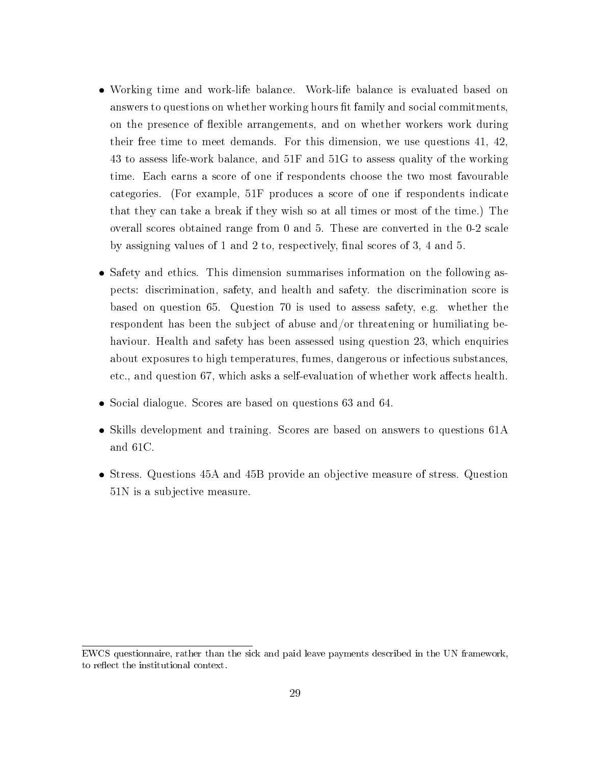- Working time and work-life balance. Work-life balance is evaluated based on answers to questions on whether working hours fit family and social commitments, on the presence of flexible arrangements, and on whether workers work during their free time to meet demands. For this dimension, we use questions 41, 42, 43 to assess life-work balance, and 51F and 51G to assess quality of the working time. Each earns a score of one if respondents choose the two most favourable categories. (For example, 51F produces a score of one if respondents indicate that they can take a break if they wish so at all times or most of the time.) The overall scores obtained range from 0 and 5. These are converted in the 0-2 scale by assigning values of 1 and 2 to, respectively, final scores of 3, 4 and 5.
- Safety and ethics. This dimension summarises information on the following aspects: discrimination, safety, and health and safety. the discrimination score is based on question 65. Question 70 is used to assess safety, e.g. whether the respondent has been the subject of abuse and/or threatening or humiliating behaviour. Health and safety has been assessed using question 23, which enquiries about exposures to high temperatures, fumes, dangerous or infectious substances, etc., and question 67, which asks a self-evaluation of whether work affects health.
- Social dialogue. Scores are based on questions 63 and 64.
- Skills development and training. Scores are based on answers to questions 61A and 61C.
- Stress. Questions 45A and 45B provide an objective measure of stress. Question 51N is a subjective measure.

EWCS questionnaire, rather than the sick and paid leave payments described in the UN framework, to reflect the institutional context.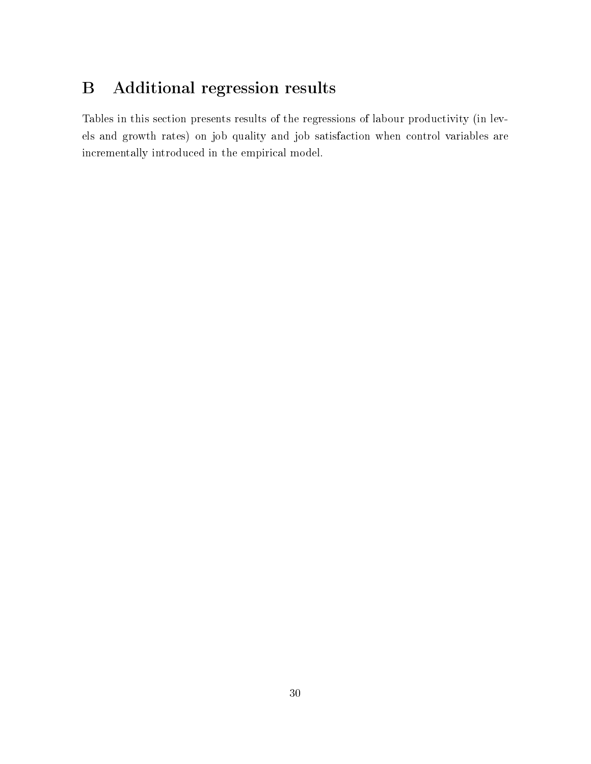# <span id="page-29-0"></span>B Additional regression results

Tables in this section presents results of the regressions of labour productivity (in levels and growth rates) on job quality and job satisfaction when control variables are incrementally introduced in the empirical model.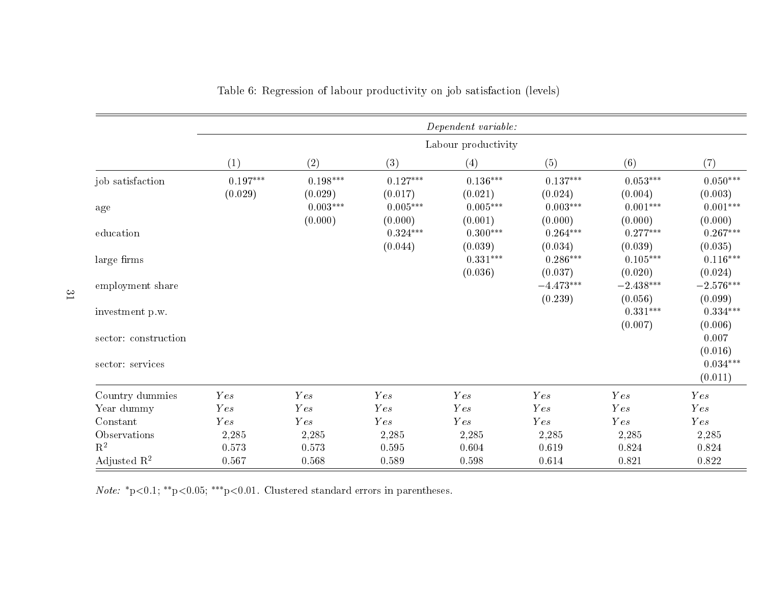|                         |                                   |                       |                       | Dependent variable:   |                        |                        |                                   |
|-------------------------|-----------------------------------|-----------------------|-----------------------|-----------------------|------------------------|------------------------|-----------------------------------|
|                         |                                   |                       |                       | Labour productivity   |                        |                        |                                   |
|                         | (1)                               | (2)                   | (3)                   | (4)                   | (5)                    | (6)                    | (7)                               |
| job satisfaction        | $0.197^{\ast\ast\ast}$<br>(0.029) | $0.198***$<br>(0.029) | $0.127***$<br>(0.017) | $0.136***$<br>(0.021) | $0.137***$<br>(0.024)  | $0.053***$<br>(0.004)  | $0.050^{***}\,$<br>(0.003)        |
| age                     |                                   | $0.003***$<br>(0.000) | $0.005***$<br>(0.000) | $0.005***$<br>(0.001) | $0.003***$<br>(0.000)  | $0.001***$<br>(0.000)  | $0.001***$<br>(0.000)             |
| education               |                                   |                       | $0.324***$<br>(0.044) | $0.300***$<br>(0.039) | $0.264***$<br>(0.034)  | $0.277***$<br>(0.039)  | $0.267***$<br>(0.035)             |
| large firms             |                                   |                       |                       | $0.331***$<br>(0.036) | $0.286***$<br>(0.037)  | $0.105***$<br>(0.020)  | $0.116^{\ast\ast\ast}$<br>(0.024) |
| employment share        |                                   |                       |                       |                       | $-4.473***$<br>(0.239) | $-2.438***$<br>(0.056) | $-2.576***$<br>(0.099)            |
| investment p.w.         |                                   |                       |                       |                       |                        | $0.331***$<br>(0.007)  | $0.334***$<br>(0.006)             |
| sector: construction    |                                   |                       |                       |                       |                        |                        | 0.007<br>(0.016)                  |
| sector: services        |                                   |                       |                       |                       |                        |                        | $0.034***$<br>(0.011)             |
| Country dummies         | <b>Y</b> es                       | <b>Y</b> es           | <b>Y</b> es           | Yes                   | Yes                    | <b>Y</b> es            | <b>Y</b> es                       |
| Year dummy              | Yes                               | Y es                  | <b>Y</b> es           | Y es                  | <b>Y</b> es            | Yes                    | Y es                              |
| Constant                | Yes                               | Yes                   | Yes                   | Y es                  | Yes                    | Yes                    | Yes                               |
| Observations            | 2,285                             | 2,285                 | 2,285                 | 2,285                 | 2,285                  | 2,285                  | 2,285                             |
| $\mathbf{R}^2$          | 0.573                             | 0.573                 | 0.595                 | 0.604                 | 0.619                  | 0.824                  | 0.824                             |
| Adjusted $\mathbb{R}^2$ | 0.567                             | 0.568                 | 0.589                 | 0.598                 | 0.614                  | 0.821                  | 0.822                             |

#### Table 6: Regression of labour productivity on job satisfaction (levels)

*Note:*  $^*$ p $<$ 0.1;  $^*$ \* $^*$ p $<$ 0.05;  $^{**}$ p $<$ 0.01. Clustered standard errors in parentheses.

31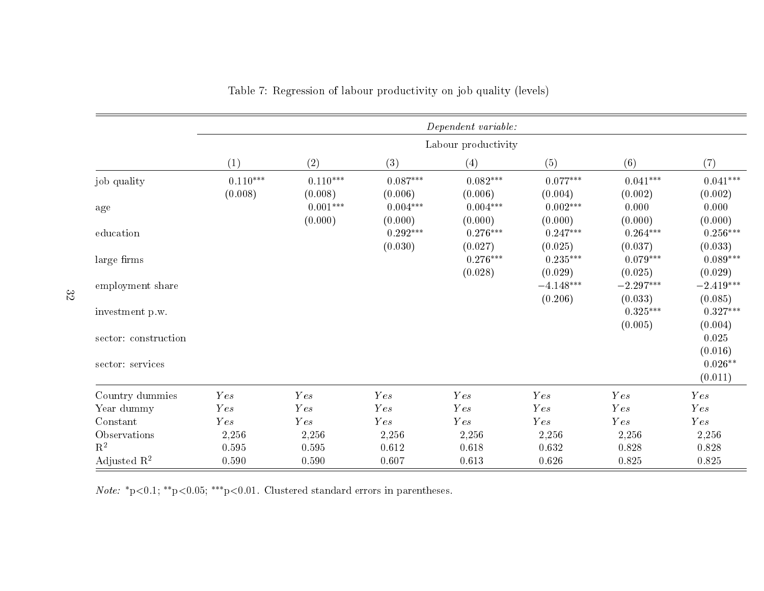|                         |                          |                          |                       | $Department\ variable:$ |                        |                        |                                 |
|-------------------------|--------------------------|--------------------------|-----------------------|-------------------------|------------------------|------------------------|---------------------------------|
|                         |                          |                          |                       | Labour productivity     |                        |                        |                                 |
|                         | (1)                      | (2)                      | (3)                   | (4)                     | (5)                    | (6)                    | (7)                             |
| job quality             | $0.110^{***}$<br>(0.008) | $0.110^{***}$<br>(0.008) | $0.087***$<br>(0.006) | $0.082***$<br>(0.006)   | $0.077***$<br>(0.004)  | $0.041***$<br>(0.002)  | $0.041^{***}\,$<br>(0.002)      |
| age                     |                          | $0.001***$<br>(0.000)    | $0.004***$<br>(0.000) | $0.004***$<br>(0.000)   | $0.002***$<br>(0.000)  | 0.000<br>(0.000)       | 0.000<br>(0.000)                |
| education               |                          |                          | $0.292***$<br>(0.030) | $0.276***$<br>(0.027)   | $0.247***$<br>(0.025)  | $0.264***$<br>(0.037)  | $0.256***$<br>(0.033)           |
| large firms             |                          |                          |                       | $0.276***$<br>(0.028)   | $0.235***$<br>(0.029)  | $0.079***$<br>(0.025)  | $0.089***$<br>(0.029)           |
| employment share        |                          |                          |                       |                         | $-4.148***$<br>(0.206) | $-2.297***$<br>(0.033) | $-2.419***$<br>(0.085)          |
| investment p.w.         |                          |                          |                       |                         |                        | $0.325***$             | $0.327***$                      |
| sector: construction    |                          |                          |                       |                         |                        | (0.005)                | (0.004)<br>0.025                |
| sector: services        |                          |                          |                       |                         |                        |                        | (0.016)<br>$0.026**$<br>(0.011) |
| Country dummies         | <b>Y</b> es              | Yes                      | Yes                   | Yes                     | <b>Y</b> es            | <b>Y</b> es            | Y es                            |
| Year dummy              | Yes                      | Y es                     | Yes                   | Y es                    | <b>Y</b> es            | Y es                   | Yes                             |
| Constant                | Yes                      | Y es                     | Yes                   | Y es                    | Yes                    | Yes                    | Y es                            |
| Observations            | 2,256                    | 2,256                    | 2,256                 | 2,256                   | 2,256                  | 2,256                  | 2,256                           |
| $\mathbf{R}^2$          | 0.595                    | 0.595                    | 0.612                 | 0.618                   | 0.632                  | 0.828                  | 0.828                           |
| Adjusted $\mathbb{R}^2$ | 0.590                    | 0.590                    | 0.607                 | 0.613                   | 0.626                  | 0.825                  | 0.825                           |

Table 7: Regression of labour productivity on job quality (levels)

*Note:*  $^*$ p<0.1;  $^*$ \*p<0.05;  $^{**}$ p<0.01. Clustered standard errors in parentheses.

32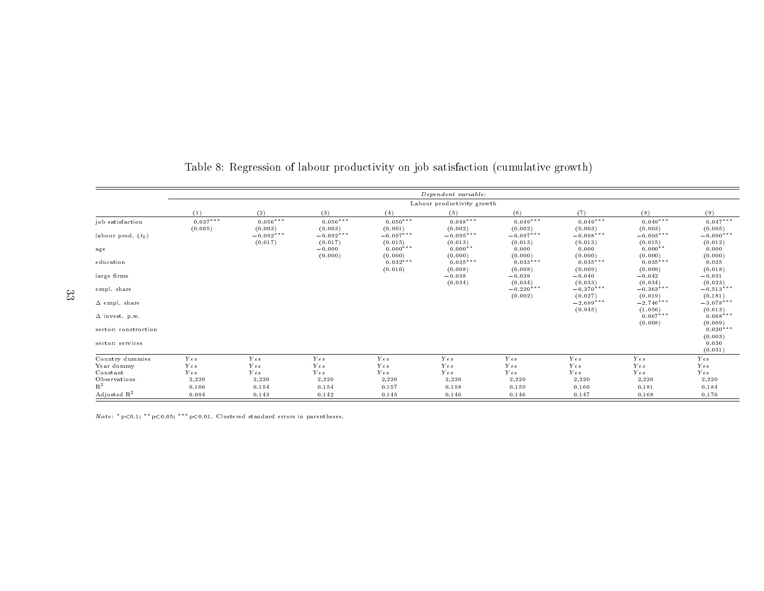|                         |            |                        |                                |                                  | Dependent variable:             |                             |                             |                                 |                             |
|-------------------------|------------|------------------------|--------------------------------|----------------------------------|---------------------------------|-----------------------------|-----------------------------|---------------------------------|-----------------------------|
|                         |            |                        |                                |                                  | Labour productivity growth      |                             |                             |                                 |                             |
|                         | (1)        | (2)                    | (3)                            | (4)                              | (5)                             | (6)                         | (7)                         | (8)                             | (9)                         |
| job satisfaction        | $0.037***$ | $0.056***$             | $0.056***$                     | $0.050***$                       | $0.048***$                      | $0.049***$                  | $0.049***$                  | $0.049***$                      | $0.047***$                  |
| labour prod. $(t_0)$    | (0.005)    | (0.003)<br>$-0.092***$ | (0.003)<br>$-0.092***$         | (0.001)<br>$-0.097***$           | (0.002)<br>$-0.095***$          | (0.002)<br>$-0.097***$      | (0.003)<br>$-0.098$ ***     | (0.003)<br>$-0.093***$          | (0.005)<br>$-0.090***$      |
| $\mathbf{age}$          |            | (0.017)                | (0.017)<br>$-0.000$<br>(0.000) | (0.015)<br>$0.000***$<br>(0.000) | (0.013)<br>$0.000**$<br>(0.000) | (0.013)<br>0.000<br>(0.000) | (0.013)<br>0.000<br>(0.000) | (0.015)<br>$0.000**$<br>(0.000) | (0.012)<br>0.000<br>(0.000) |
| education               |            |                        |                                | $0.032***$<br>(0.010)            | $0.035***$<br>(0.008)           | $0.033***$<br>(0.008)       | $0.035***$<br>(0.009)       | $0.035***$<br>(0.009)           | 0.025<br>(0.018)            |
| large firms             |            |                        |                                |                                  | $-0.038$<br>(0.034)             | $-0.039$<br>(0.034)         | $-0.040$<br>(0.033)         | $-0.042$<br>(0.034)             | $-0.031$<br>(0.023)         |
| empl. share             |            |                        |                                |                                  |                                 | $-0.220***$<br>(0.002)      | $-0.370***$<br>(0.027)      | $-0.363***$<br>(0.019)          | $-0.513***$<br>(0.181)      |
| $\Delta$ empl. share    |            |                        |                                |                                  |                                 |                             | $-2.689***$<br>(0.945)      | $-2.746***$<br>(1.056)          | $-3.078***$<br>(0.613)      |
| $\Delta$ invest. p.w.   |            |                        |                                |                                  |                                 |                             |                             | $0.067***$<br>(0.008)           | $0.068***$<br>(0.009)       |
| sector: construction    |            |                        |                                |                                  |                                 |                             |                             |                                 | $0.020***$<br>(0.003)       |
| sector: services        |            |                        |                                |                                  |                                 |                             |                             |                                 | 0.030<br>(0.031)            |
| Country dummies         | Yes        | Yes                    | Yes                            | Yes                              | Yes                             | Yes                         | Yes                         | Yes                             | Yes                         |
| Year dummy              | Yes        | Yes                    | Yes                            | Yes                              | Yes                             | Yes                         | Yes                         | Yes                             | Yes                         |
| Constant                | Yes        | Yes                    | Yes                            | Yes                              | Yes                             | Yes                         | Yes                         | Yes                             | Yes                         |
| Observations            | 2,220      | 2,220                  | 2,220                          | 2,220                            | 2,220                           | 2,220                       | 2,220                       | 2,220                           | 2,220                       |
| $R^2$                   | 0.106      | 0.154                  | 0.154                          | 0.157                            | 0.158                           | 0.159                       | 0.160                       | 0.181                           | 0.184                       |
| Adjusted R <sup>2</sup> | 0.094      | 0.143                  | 0.142                          | 0.145                            | 0.146                           | 0.146                       | 0.147                       | 0.168                           | 0.170                       |

### Table 8: Regression of labour productivity on job satisfaction (cumulative growth)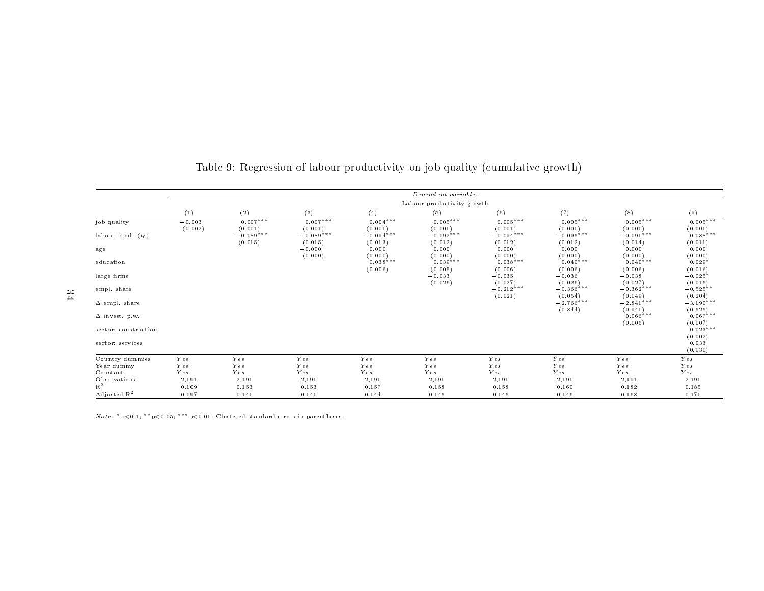|                         |                     |                        |                        |                        | Dependent variable:        |                        |                        |                        |                        |
|-------------------------|---------------------|------------------------|------------------------|------------------------|----------------------------|------------------------|------------------------|------------------------|------------------------|
|                         |                     |                        |                        |                        | Labour productivity growth |                        |                        |                        |                        |
|                         | (1)                 | (2)                    | (3)                    | (4)                    | (5)                        | (6)                    | (7)                    | (8)                    | (9)                    |
| job quality             | $-0.003$<br>(0.002) | $0.007***$<br>(0.001)  | $0.007***$<br>(0.001)  | $0.004***$<br>(0.001)  | $0.005***$<br>(0.001)      | $0.005***$<br>(0.001)  | $0.005***$<br>(0.001)  | $0.005***$<br>(0.001)  | $0.005***$<br>(0.001)  |
| labour prod. $(t_0)$    |                     | $-0.089***$<br>(0.015) | $-0.089***$<br>(0.015) | $-0.094***$<br>(0.013) | $-0.092$ ***<br>(0.012)    | $-0.094***$<br>(0.012) | $-0.095***$<br>(0.012) | $-0.091***$<br>(0.014) | $-0.088***$<br>(0.011) |
| $\mathbf{age}$          |                     |                        | $-0.000$<br>(0.000)    | 0.000<br>(0.000)       | 0.000<br>(0.000)           | 0.000<br>(0.000)       | 0.000<br>(0.000)       | 0.000<br>(0.000)       | 0.000<br>(0.000)       |
| education               |                     |                        |                        | $0.038***$<br>(0.006)  | $0.039***$<br>(0.005)      | $0.038***$<br>(0.006)  | $0.040***$<br>(0.006)  | $0.040***$<br>(0.006)  | $0.029*$<br>(0.016)    |
| large firms             |                     |                        |                        |                        | $-0.033$<br>(0.026)        | $-0.035$<br>(0.027)    | $-0.036$<br>(0.026)    | $-0.038$<br>(0.027)    | $-0.025*$<br>(0.015)   |
| empl. share             |                     |                        |                        |                        |                            | $-0.212***$<br>(0.021) | $-0.366***$<br>(0.054) | $-0.362***$<br>(0.049) | $-0.525**$<br>(0.204)  |
| $\Delta$ empl. share    |                     |                        |                        |                        |                            |                        | $-2.766***$<br>(0.844) | $-2.841***$<br>(0.941) | $-3.190***$<br>(0.525) |
| $\Delta$ invest. p.w.   |                     |                        |                        |                        |                            |                        |                        | $0.066***$<br>(0.006)  | $0.067***$<br>(0.007)  |
| sector: construction    |                     |                        |                        |                        |                            |                        |                        |                        | $0.023***$<br>(0.002)  |
| sector: services        |                     |                        |                        |                        |                            |                        |                        |                        | 0.033<br>(0.030)       |
| Country dummies         | Yes                 | Yes                    | Yes                    | Yes                    | Yes                        | Yes                    | Yes                    | Yes                    | Yes                    |
| Year dummy              | Yes                 | Yes                    | Yes                    | Yes                    | Yes                        | Yes                    | Yes                    | Yes                    | Yes                    |
| Constant                | Yes                 | Yes                    | Yes                    | Yes                    | Yes                        | Yes                    | Yes                    | Yes                    | Yes                    |
| Observations            | 2,191               | 2,191                  | 2,191                  | 2,191                  | 2,191                      | 2,191                  | 2,191                  | 2,191                  | 2,191                  |
| $R^2$                   | 0.109               | 0.153                  | 0.153                  | 0.157                  | 0.158                      | 0.158                  | 0.160                  | 0.182                  | 0.185                  |
| Adjusted R <sup>2</sup> | 0.097               | 0.141                  | 0.141                  | 0.144                  | 0.145                      | 0.145                  | 0.146                  | 0.168                  | 0.171                  |

### Table 9: Regression of labour productivity on job quality (cumulative growth)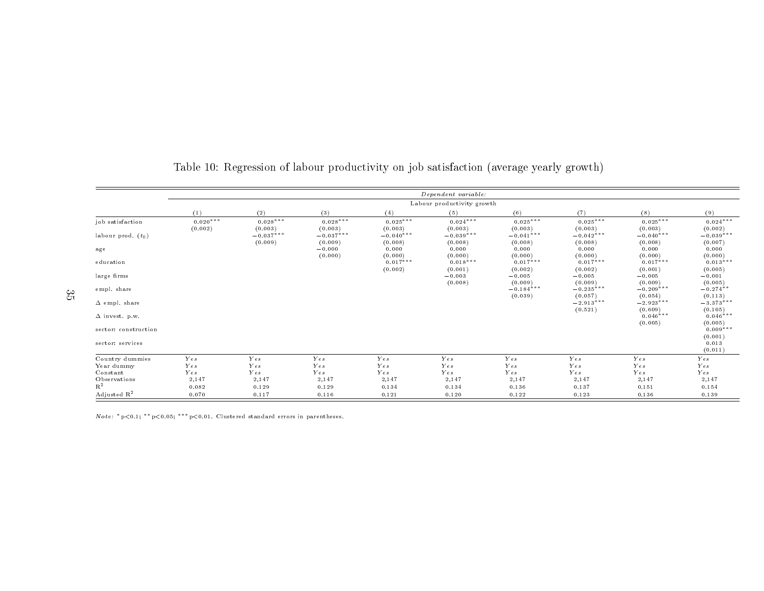|                         |                       |                        |                        |                        | Dependent variable:        |                        |                        |                        |                        |
|-------------------------|-----------------------|------------------------|------------------------|------------------------|----------------------------|------------------------|------------------------|------------------------|------------------------|
|                         |                       |                        |                        |                        | Labour productivity growth |                        |                        |                        |                        |
|                         | (1)                   | (2)                    | (3)                    | (4)                    | (5)                        | (6)                    | (7)                    | (8)                    | (9)                    |
| job satisfaction        | $0.020***$<br>(0.002) | $0.028***$<br>(0.003)  | $0.028***$<br>(0.003)  | $0.025***$<br>(0.003)  | $0.024***$<br>(0.003)      | $0.025***$<br>(0.003)  | $0.025***$<br>(0.003)  | $0.025***$<br>(0.003)  | $0.024***$<br>(0.002)  |
| labour prod. $(t_0)$    |                       | $-0.037***$<br>(0.009) | $-0.037***$<br>(0.009) | $-0.040***$<br>(0.008) | $-0.039***$<br>(0.008)     | $-0.041***$<br>(0.008) | $-0.042***$<br>(0.008) | $-0.040***$<br>(0.008) | $-0.039***$<br>(0.007) |
| $\mathbf{age}$          |                       |                        | $-0.000$<br>(0.000)    | 0.000<br>(0.000)       | 0.000<br>(0.000)           | 0.000<br>(0.000)       | 0.000<br>(0.000)       | 0.000<br>(0.000)       | 0.000<br>(0.000)       |
| education               |                       |                        |                        | $0.017***$<br>(0.002)  | $0.018***$<br>(0.001)      | $0.017***$<br>(0.002)  | $0.017***$<br>(0.002)  | $0.017***$<br>(0.001)  | $0.013***$<br>(0.005)  |
| large firms             |                       |                        |                        |                        | $-0.003$<br>(0.008)        | $-0.005$<br>(0.009)    | $-0.005$<br>(0.009)    | $-0.005$<br>(0.009)    | $-0.001$<br>(0.005)    |
| empl. share             |                       |                        |                        |                        |                            | $-0.184***$<br>(0.039) | $-0.235***$<br>(0.057) | $-0.209***$<br>(0.054) | $-0.274**$<br>(0.113)  |
| $\Delta$ empl. share    |                       |                        |                        |                        |                            |                        | $-2.913***$<br>(0.521) | $-2.923***$<br>(0.609) | $-3.373***$<br>(0.105) |
| $\Delta$ invest. p.w.   |                       |                        |                        |                        |                            |                        |                        | $0.046***$<br>(0.005)  | $0.046***$<br>(0.005)  |
| sector: construction    |                       |                        |                        |                        |                            |                        |                        |                        | $0.009***$<br>(0.001)  |
| sector: services        |                       |                        |                        |                        |                            |                        |                        |                        | 0.013<br>(0.011)       |
| Country dummies         | Yes                   | Yes                    | Yes                    | Yes                    | Yes                        | Ye s                   | Yes                    | Yes                    | Yes                    |
| Year dummy              | Yes                   | Yes                    | Yes                    | Yes                    | Yes                        | Ye s                   | Yes                    | Yes                    | Yes                    |
| Constant                | Yes                   | $Y\,e\,s$              | Yes                    | Yes                    | Yes                        | Yes                    | Yes                    | Yes                    | Yes                    |
| Observations            | 2,147                 | 2,147                  | 2,147                  | 2,147                  | 2,147                      | 2,147                  | 2,147                  | 2,147                  | 2,147                  |
| $R^2$                   | 0.082                 | 0.129                  | 0.129                  | 0.134                  | 0.134                      | 0.136                  | 0.137                  | 0.151                  | 0.154                  |
| Adjusted R <sup>2</sup> | 0.070                 | 0.117                  | 0.116                  | 0.121                  | 0.120                      | 0.122                  | 0.123                  | 0.136                  | 0.139                  |

#### Table 10: Regression of labour productivity on job satisfaction (average yearly growth)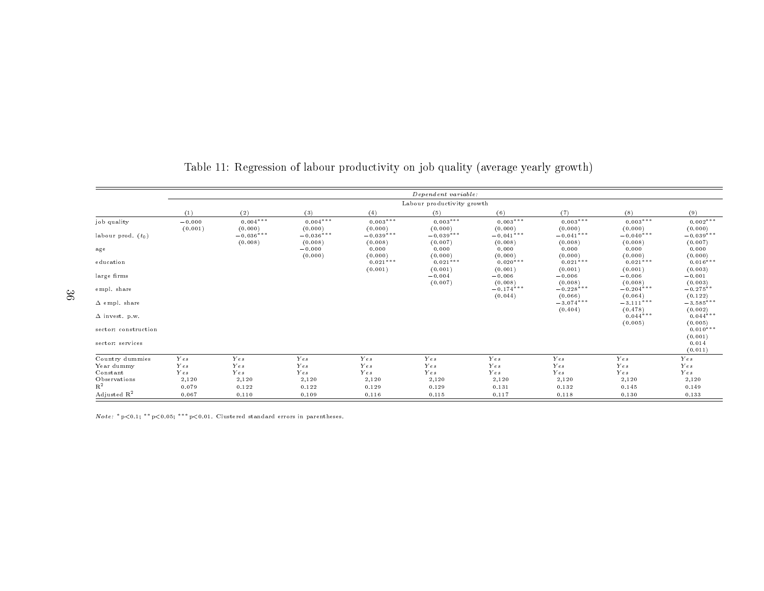|                         |                     |                        |                        |                        | Dependent variable:        |                                    |                        |                        |                        |
|-------------------------|---------------------|------------------------|------------------------|------------------------|----------------------------|------------------------------------|------------------------|------------------------|------------------------|
|                         |                     |                        |                        |                        | Labour productivity growth |                                    |                        |                        |                        |
|                         | (1)                 | (2)                    | (3)                    | (4)                    | (5)                        | (6)                                | (7)                    | (8)                    | (9)                    |
| job quality             | $-0.000$<br>(0.001) | $0.004***$<br>(0.000)  | $0.004***$<br>(0.000)  | $0.003***$<br>(0.000)  | $0.003***$<br>(0.000)      | $0.003***$<br>(0.000)              | $0.003***$<br>(0.000)  | $0.003***$<br>(0.000)  | $0.002***$<br>(0.000)  |
| labour prod. $(t_0)$    |                     | $-0.036***$<br>(0.008) | $-0.036***$<br>(0.008) | $-0.039***$<br>(0.008) | $-0.039***$<br>(0.007)     | $-0.041$ <sup>***</sup><br>(0.008) | $-0.041***$<br>(0.008) | $-0.040***$<br>(0.008) | $-0.039***$<br>(0.007) |
| age                     |                     |                        | $-0.000$<br>(0.000)    | 0.000<br>(0.000)       | 0.000<br>(0.000)           | 0.000<br>(0.000)                   | 0.000<br>(0.000)       | 0.000<br>(0.000)       | 0.000<br>(0.000)       |
| education               |                     |                        |                        | $0.021***$<br>(0.001)  | $0.021***$<br>(0.001)      | $0.020***$<br>(0.001)              | $0.021***$<br>(0.001)  | $0.021***$<br>(0.001)  | $0.016***$<br>(0.003)  |
| large firms             |                     |                        |                        |                        | $-0.004$<br>(0.007)        | $-0.006$<br>(0.008)                | $-0.006$<br>(0.008)    | $-0.006$<br>(0.008)    | $-0.001$<br>(0.003)    |
| empl. share             |                     |                        |                        |                        |                            | $-0.174***$<br>(0.044)             | $-0.228***$<br>(0.066) | $-0.204***$<br>(0.064) | $-0.275**$<br>(0.122)  |
| $\Delta$ empl. share    |                     |                        |                        |                        |                            |                                    | $-3.074***$<br>(0.404) | $-3.111***$<br>(0.478) | $-3.585***$<br>(0.002) |
| $\Delta$ invest. p.w.   |                     |                        |                        |                        |                            |                                    |                        | $0.044***$<br>(0.005)  | $0.044***$<br>(0.005)  |
| sector: construction    |                     |                        |                        |                        |                            |                                    |                        |                        | $0.010***$<br>(0.001)  |
| sector: services        |                     |                        |                        |                        |                            |                                    |                        |                        | 0.014<br>(0.011)       |
| Country dummies         | Yes                 | Yes                    | Yes                    | Yes                    | Yes                        | Yes                                | Yes                    | Yes                    | Yes                    |
| Year dummy              | Yes                 | Yes                    | Yes                    | Yes                    | Yes                        | Yes                                | Yes                    | Yes                    | Yes                    |
| Constant                | Yes                 | Yes                    | Yes                    | Yes                    | Yes                        | Yes                                | Yes                    | Yes                    | Yes                    |
| Observations            | 2,120               | 2,120                  | 2,120                  | 2,120                  | 2,120                      | 2,120                              | 2,120                  | 2,120                  | 2,120                  |
| $R^2$                   | 0.079               | 0.122                  | 0.122                  | 0.129                  | 0.129                      | 0.131                              | 0.132                  | 0.145                  | 0.149                  |
| Adjusted R <sup>2</sup> | 0.067               | 0.110                  | 0.109                  | 0.116                  | 0.115                      | 0.117                              | 0.118                  | 0.130                  | 0.133                  |

Table 11: Regression of labour productivity on job quality (average yearly growth)